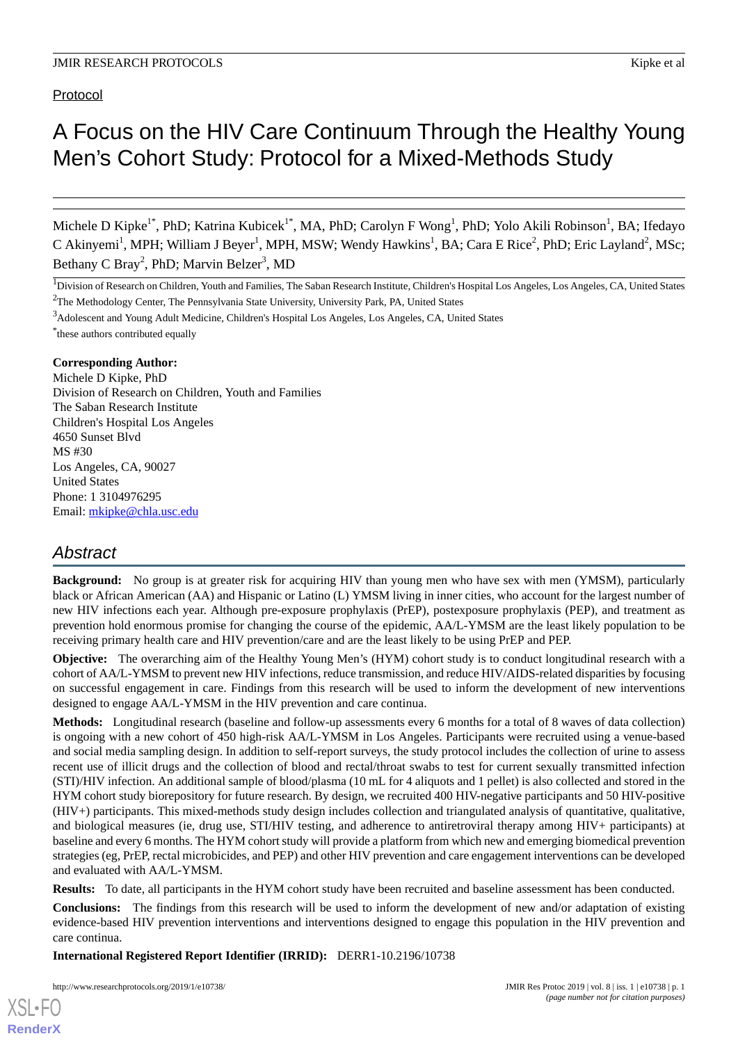Protocol

# A Focus on the HIV Care Continuum Through the Healthy Young Men's Cohort Study: Protocol for a Mixed-Methods Study

Michele D Kipke<sup>1\*</sup>, PhD; Katrina Kubicek<sup>1\*</sup>, MA, PhD; Carolyn F Wong<sup>1</sup>, PhD; Yolo Akili Robinson<sup>1</sup>, BA; Ifedayo C Akinyemi<sup>1</sup>, MPH; William J Beyer<sup>1</sup>, MPH, MSW; Wendy Hawkins<sup>1</sup>, BA; Cara E Rice<sup>2</sup>, PhD; Eric Layland<sup>2</sup>, MSc; Bethany C Bray<sup>2</sup>, PhD; Marvin Belzer<sup>3</sup>, MD

\* these authors contributed equally

#### **Corresponding Author:**

Michele D Kipke, PhD Division of Research on Children, Youth and Families The Saban Research Institute Children's Hospital Los Angeles 4650 Sunset Blvd MS #30 Los Angeles, CA, 90027 United States Phone: 1 3104976295 Email: [mkipke@chla.usc.edu](mailto:mkipke@chla.usc.edu)

# *Abstract*

**Background:** No group is at greater risk for acquiring HIV than young men who have sex with men (YMSM), particularly black or African American (AA) and Hispanic or Latino (L) YMSM living in inner cities, who account for the largest number of new HIV infections each year. Although pre-exposure prophylaxis (PrEP), postexposure prophylaxis (PEP), and treatment as prevention hold enormous promise for changing the course of the epidemic, AA/L-YMSM are the least likely population to be receiving primary health care and HIV prevention/care and are the least likely to be using PrEP and PEP.

**Objective:** The overarching aim of the Healthy Young Men's (HYM) cohort study is to conduct longitudinal research with a cohort of AA/L-YMSM to prevent new HIV infections, reduce transmission, and reduce HIV/AIDS-related disparities by focusing on successful engagement in care. Findings from this research will be used to inform the development of new interventions designed to engage AA/L-YMSM in the HIV prevention and care continua.

**Methods:** Longitudinal research (baseline and follow-up assessments every 6 months for a total of 8 waves of data collection) is ongoing with a new cohort of 450 high-risk AA/L-YMSM in Los Angeles. Participants were recruited using a venue-based and social media sampling design. In addition to self-report surveys, the study protocol includes the collection of urine to assess recent use of illicit drugs and the collection of blood and rectal/throat swabs to test for current sexually transmitted infection (STI)/HIV infection. An additional sample of blood/plasma (10 mL for 4 aliquots and 1 pellet) is also collected and stored in the HYM cohort study biorepository for future research. By design, we recruited 400 HIV-negative participants and 50 HIV-positive (HIV+) participants. This mixed-methods study design includes collection and triangulated analysis of quantitative, qualitative, and biological measures (ie, drug use, STI/HIV testing, and adherence to antiretroviral therapy among HIV+ participants) at baseline and every 6 months. The HYM cohort study will provide a platform from which new and emerging biomedical prevention strategies (eg, PrEP, rectal microbicides, and PEP) and other HIV prevention and care engagement interventions can be developed and evaluated with AA/L-YMSM.

**Results:** To date, all participants in the HYM cohort study have been recruited and baseline assessment has been conducted.

**Conclusions:** The findings from this research will be used to inform the development of new and/or adaptation of existing evidence-based HIV prevention interventions and interventions designed to engage this population in the HIV prevention and care continua.

**International Registered Report Identifier (IRRID):** DERR1-10.2196/10738

http://www.researchprotocols.org/2019/1/e10738/ JMIR Res Protoc 2019 | vol. 8 | iss. 1 | e10738 | p. 1

<sup>&</sup>lt;sup>1</sup>Division of Research on Children, Youth and Families, The Saban Research Institute, Children's Hospital Los Angeles, Los Angeles, CA, United States <sup>2</sup>The Methodology Center, The Pennsylvania State University, University Park, PA, United States

<sup>3</sup>Adolescent and Young Adult Medicine, Children's Hospital Los Angeles, Los Angeles, CA, United States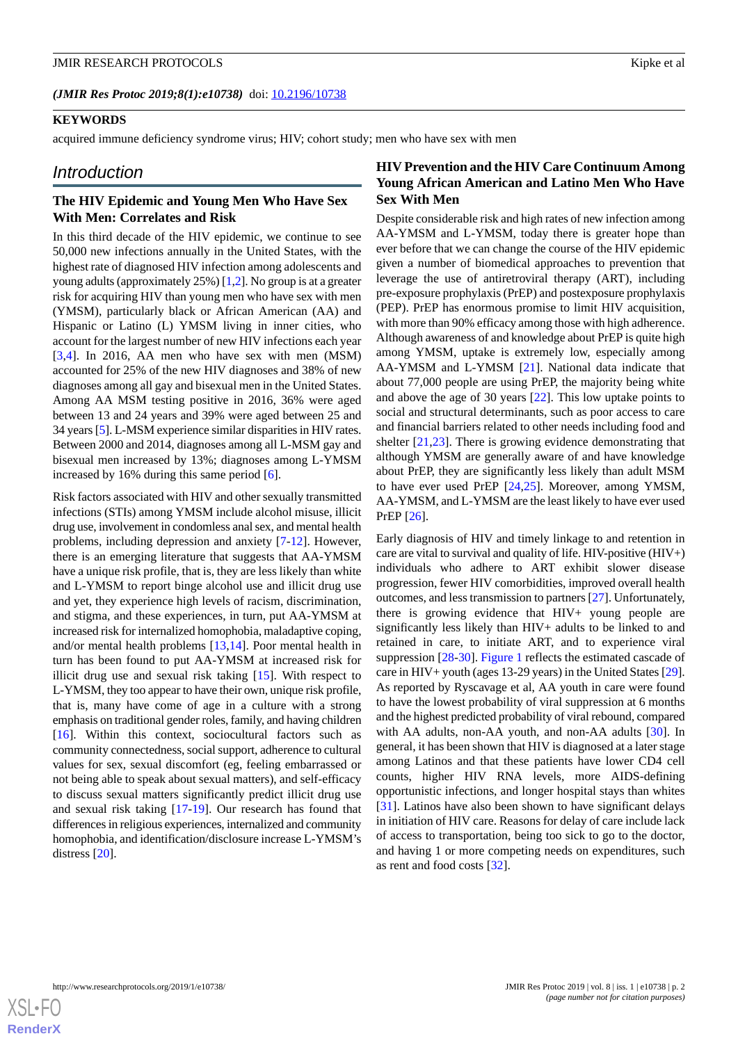### **KEYWORDS**

acquired immune deficiency syndrome virus; HIV; cohort study; men who have sex with men

### *Introduction*

# **The HIV Epidemic and Young Men Who Have Sex With Men: Correlates and Risk**

In this third decade of the HIV epidemic, we continue to see 50,000 new infections annually in the United States, with the highest rate of diagnosed HIV infection among adolescents and young adults (approximately 25%) [\[1](#page-8-0),[2\]](#page-8-1). No group is at a greater risk for acquiring HIV than young men who have sex with men (YMSM), particularly black or African American (AA) and Hispanic or Latino (L) YMSM living in inner cities, who account for the largest number of new HIV infections each year [[3](#page-8-2)[,4](#page-8-3)]. In 2016, AA men who have sex with men (MSM) accounted for 25% of the new HIV diagnoses and 38% of new diagnoses among all gay and bisexual men in the United States. Among AA MSM testing positive in 2016, 36% were aged between 13 and 24 years and 39% were aged between 25 and 34 years [\[5\]](#page-9-0). L-MSM experience similar disparities in HIV rates. Between 2000 and 2014, diagnoses among all L-MSM gay and bisexual men increased by 13%; diagnoses among L-YMSM increased by 16% during this same period [\[6](#page-9-1)].

Risk factors associated with HIV and other sexually transmitted infections (STIs) among YMSM include alcohol misuse, illicit drug use, involvement in condomless anal sex, and mental health problems, including depression and anxiety [\[7](#page-9-2)[-12](#page-9-3)]. However, there is an emerging literature that suggests that AA-YMSM have a unique risk profile, that is, they are less likely than white and L-YMSM to report binge alcohol use and illicit drug use and yet, they experience high levels of racism, discrimination, and stigma, and these experiences, in turn, put AA-YMSM at increased risk for internalized homophobia, maladaptive coping, and/or mental health problems [[13,](#page-9-4)[14](#page-9-5)]. Poor mental health in turn has been found to put AA-YMSM at increased risk for illicit drug use and sexual risk taking [[15\]](#page-9-6). With respect to L-YMSM, they too appear to have their own, unique risk profile, that is, many have come of age in a culture with a strong emphasis on traditional gender roles, family, and having children [[16\]](#page-9-7). Within this context, sociocultural factors such as community connectedness, social support, adherence to cultural values for sex, sexual discomfort (eg, feeling embarrassed or not being able to speak about sexual matters), and self-efficacy to discuss sexual matters significantly predict illicit drug use and sexual risk taking [[17-](#page-9-8)[19](#page-9-9)]. Our research has found that differences in religious experiences, internalized and community homophobia, and identification/disclosure increase L-YMSM's distress [\[20](#page-9-10)].

# **HIV Prevention and the HIV Care Continuum Among Young African American and Latino Men Who Have Sex With Men**

Despite considerable risk and high rates of new infection among AA-YMSM and L-YMSM, today there is greater hope than ever before that we can change the course of the HIV epidemic given a number of biomedical approaches to prevention that leverage the use of antiretroviral therapy (ART), including pre-exposure prophylaxis (PrEP) and postexposure prophylaxis (PEP). PrEP has enormous promise to limit HIV acquisition, with more than 90% efficacy among those with high adherence. Although awareness of and knowledge about PrEP is quite high among YMSM, uptake is extremely low, especially among AA-YMSM and L-YMSM [\[21](#page-9-11)]. National data indicate that about 77,000 people are using PrEP, the majority being white and above the age of 30 years [[22\]](#page-9-12). This low uptake points to social and structural determinants, such as poor access to care and financial barriers related to other needs including food and shelter [\[21](#page-9-11)[,23](#page-9-13)]. There is growing evidence demonstrating that although YMSM are generally aware of and have knowledge about PrEP, they are significantly less likely than adult MSM to have ever used PrEP [\[24](#page-9-14),[25\]](#page-10-0). Moreover, among YMSM, AA-YMSM, and L-YMSM are the least likely to have ever used PrEP [\[26](#page-10-1)].

Early diagnosis of HIV and timely linkage to and retention in care are vital to survival and quality of life. HIV-positive (HIV+) individuals who adhere to ART exhibit slower disease progression, fewer HIV comorbidities, improved overall health outcomes, and less transmission to partners [[27\]](#page-10-2). Unfortunately, there is growing evidence that HIV+ young people are significantly less likely than HIV+ adults to be linked to and retained in care, to initiate ART, and to experience viral suppression [[28-](#page-10-3)[30\]](#page-10-4). [Figure 1](#page-2-0) reflects the estimated cascade of care in HIV+ youth (ages 13-29 years) in the United States [\[29](#page-10-5)]. As reported by Ryscavage et al, AA youth in care were found to have the lowest probability of viral suppression at 6 months and the highest predicted probability of viral rebound, compared with AA adults, non-AA youth, and non-AA adults [[30\]](#page-10-4). In general, it has been shown that HIV is diagnosed at a later stage among Latinos and that these patients have lower CD4 cell counts, higher HIV RNA levels, more AIDS-defining opportunistic infections, and longer hospital stays than whites [[31\]](#page-10-6). Latinos have also been shown to have significant delays in initiation of HIV care. Reasons for delay of care include lack of access to transportation, being too sick to go to the doctor, and having 1 or more competing needs on expenditures, such as rent and food costs [\[32](#page-10-7)].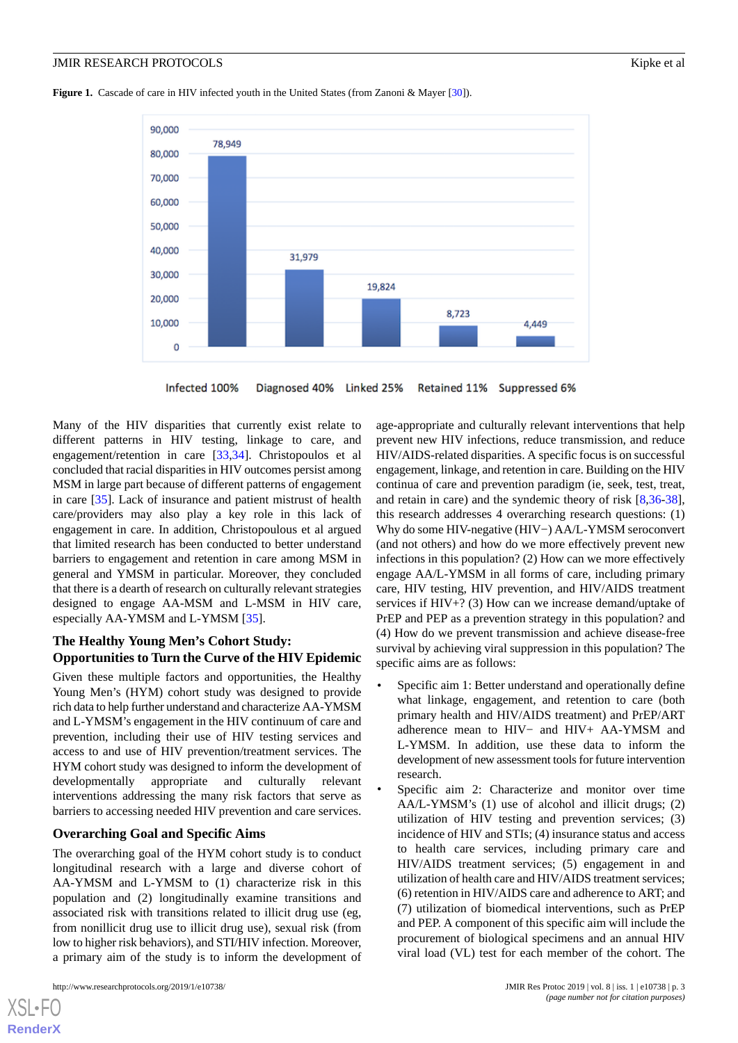<span id="page-2-0"></span>**Figure 1.** Cascade of care in HIV infected youth in the United States (from Zanoni & Mayer [[30](#page-10-4)]).



Infected 100% Diagnosed 40% Linked 25% Retained 11% Suppressed 6%

Many of the HIV disparities that currently exist relate to different patterns in HIV testing, linkage to care, and engagement/retention in care [[33](#page-10-8)[,34](#page-10-9)]. Christopoulos et al concluded that racial disparities in HIV outcomes persist among MSM in large part because of different patterns of engagement in care [[35\]](#page-10-10). Lack of insurance and patient mistrust of health care/providers may also play a key role in this lack of engagement in care. In addition, Christopoulous et al argued that limited research has been conducted to better understand barriers to engagement and retention in care among MSM in general and YMSM in particular. Moreover, they concluded that there is a dearth of research on culturally relevant strategies designed to engage AA-MSM and L-MSM in HIV care, especially AA-YMSM and L-YMSM [[35\]](#page-10-10).

# **The Healthy Young Men's Cohort Study: Opportunities to Turn the Curve of the HIV Epidemic**

Given these multiple factors and opportunities, the Healthy Young Men's (HYM) cohort study was designed to provide rich data to help further understand and characterize AA-YMSM and L-YMSM's engagement in the HIV continuum of care and prevention, including their use of HIV testing services and access to and use of HIV prevention/treatment services. The HYM cohort study was designed to inform the development of developmentally appropriate and culturally relevant interventions addressing the many risk factors that serve as barriers to accessing needed HIV prevention and care services.

### **Overarching Goal and Specific Aims**

The overarching goal of the HYM cohort study is to conduct longitudinal research with a large and diverse cohort of AA-YMSM and L-YMSM to (1) characterize risk in this population and (2) longitudinally examine transitions and associated risk with transitions related to illicit drug use (eg, from nonillicit drug use to illicit drug use), sexual risk (from low to higher risk behaviors), and STI/HIV infection. Moreover, a primary aim of the study is to inform the development of

[XSL](http://www.w3.org/Style/XSL)•FO **[RenderX](http://www.renderx.com/)**

age-appropriate and culturally relevant interventions that help prevent new HIV infections, reduce transmission, and reduce HIV/AIDS-related disparities. A specific focus is on successful engagement, linkage, and retention in care. Building on the HIV continua of care and prevention paradigm (ie, seek, test, treat, and retain in care) and the syndemic theory of risk [\[8](#page-9-15),[36-](#page-10-11)[38\]](#page-10-12), this research addresses 4 overarching research questions: (1) Why do some HIV-negative (HIV−) AA/L-YMSM seroconvert (and not others) and how do we more effectively prevent new infections in this population? (2) How can we more effectively engage AA/L-YMSM in all forms of care, including primary care, HIV testing, HIV prevention, and HIV/AIDS treatment services if HIV+? (3) How can we increase demand/uptake of PrEP and PEP as a prevention strategy in this population? and (4) How do we prevent transmission and achieve disease-free survival by achieving viral suppression in this population? The specific aims are as follows:

- Specific aim 1: Better understand and operationally define what linkage, engagement, and retention to care (both primary health and HIV/AIDS treatment) and PrEP/ART adherence mean to HIV− and HIV+ AA-YMSM and L-YMSM. In addition, use these data to inform the development of new assessment tools for future intervention research.
- Specific aim 2: Characterize and monitor over time AA/L-YMSM's (1) use of alcohol and illicit drugs; (2) utilization of HIV testing and prevention services; (3) incidence of HIV and STIs; (4) insurance status and access to health care services, including primary care and HIV/AIDS treatment services; (5) engagement in and utilization of health care and HIV/AIDS treatment services; (6) retention in HIV/AIDS care and adherence to ART; and (7) utilization of biomedical interventions, such as PrEP and PEP. A component of this specific aim will include the procurement of biological specimens and an annual HIV viral load (VL) test for each member of the cohort. The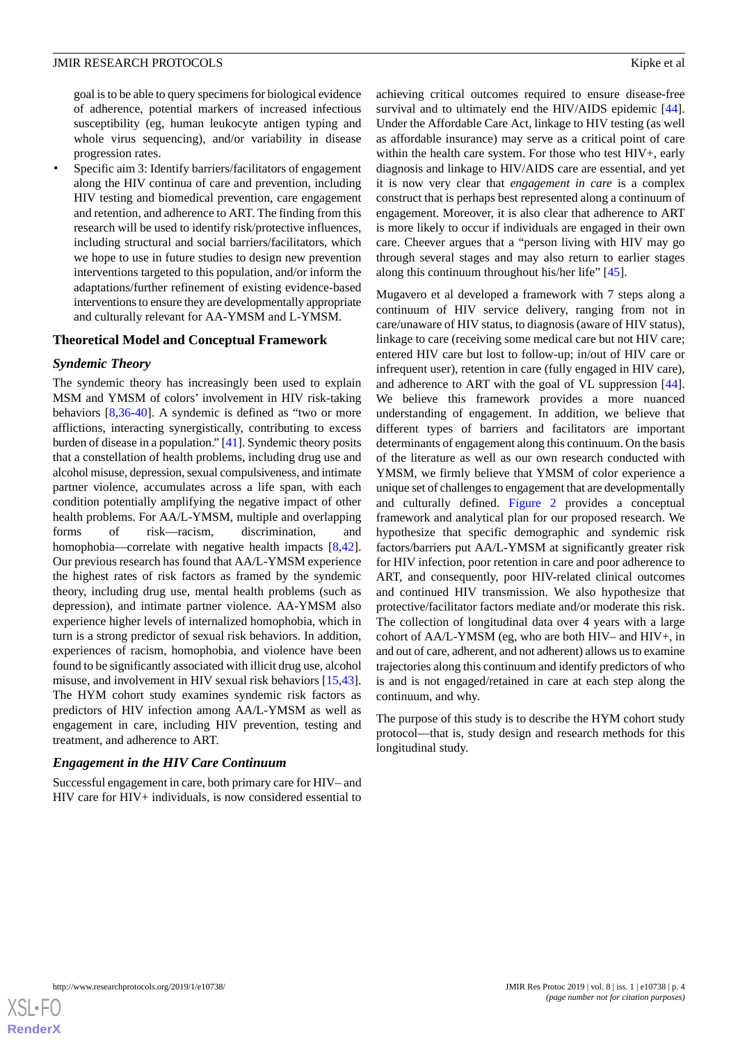goal is to be able to query specimens for biological evidence of adherence, potential markers of increased infectious susceptibility (eg, human leukocyte antigen typing and whole virus sequencing), and/or variability in disease progression rates.

Specific aim 3: Identify barriers/facilitators of engagement along the HIV continua of care and prevention, including HIV testing and biomedical prevention, care engagement and retention, and adherence to ART. The finding from this research will be used to identify risk/protective influences, including structural and social barriers/facilitators, which we hope to use in future studies to design new prevention interventions targeted to this population, and/or inform the adaptations/further refinement of existing evidence-based interventions to ensure they are developmentally appropriate and culturally relevant for AA-YMSM and L-YMSM.

#### **Theoretical Model and Conceptual Framework**

#### *Syndemic Theory*

The syndemic theory has increasingly been used to explain MSM and YMSM of colors' involvement in HIV risk-taking behaviors [\[8](#page-9-15),[36-](#page-10-11)[40\]](#page-10-13). A syndemic is defined as "two or more afflictions, interacting synergistically, contributing to excess burden of disease in a population." [\[41](#page-10-14)]. Syndemic theory posits that a constellation of health problems, including drug use and alcohol misuse, depression, sexual compulsiveness, and intimate partner violence, accumulates across a life span, with each condition potentially amplifying the negative impact of other health problems. For AA/L-YMSM, multiple and overlapping forms of risk—racism, discrimination, and homophobia—correlate with negative health impacts [\[8](#page-9-15),[42\]](#page-10-15). Our previous research has found that AA/L-YMSM experience the highest rates of risk factors as framed by the syndemic theory, including drug use, mental health problems (such as depression), and intimate partner violence. AA-YMSM also experience higher levels of internalized homophobia, which in turn is a strong predictor of sexual risk behaviors. In addition, experiences of racism, homophobia, and violence have been found to be significantly associated with illicit drug use, alcohol misuse, and involvement in HIV sexual risk behaviors [\[15](#page-9-6),[43\]](#page-10-16). The HYM cohort study examines syndemic risk factors as predictors of HIV infection among AA/L-YMSM as well as engagement in care, including HIV prevention, testing and treatment, and adherence to ART.

#### *Engagement in the HIV Care Continuum*

Successful engagement in care, both primary care for HIV– and HIV care for HIV+ individuals, is now considered essential to

achieving critical outcomes required to ensure disease-free survival and to ultimately end the HIV/AIDS epidemic [[44\]](#page-10-17). Under the Affordable Care Act, linkage to HIV testing (as well as affordable insurance) may serve as a critical point of care within the health care system. For those who test HIV+, early diagnosis and linkage to HIV/AIDS care are essential, and yet it is now very clear that *engagement in care* is a complex construct that is perhaps best represented along a continuum of engagement. Moreover, it is also clear that adherence to ART is more likely to occur if individuals are engaged in their own care. Cheever argues that a "person living with HIV may go through several stages and may also return to earlier stages along this continuum throughout his/her life" [\[45](#page-10-18)].

Mugavero et al developed a framework with 7 steps along a continuum of HIV service delivery, ranging from not in care/unaware of HIV status, to diagnosis (aware of HIV status), linkage to care (receiving some medical care but not HIV care; entered HIV care but lost to follow-up; in/out of HIV care or infrequent user), retention in care (fully engaged in HIV care), and adherence to ART with the goal of VL suppression [[44\]](#page-10-17). We believe this framework provides a more nuanced understanding of engagement. In addition, we believe that different types of barriers and facilitators are important determinants of engagement along this continuum. On the basis of the literature as well as our own research conducted with YMSM, we firmly believe that YMSM of color experience a unique set of challenges to engagement that are developmentally and culturally defined. [Figure 2](#page-4-0) provides a conceptual framework and analytical plan for our proposed research. We hypothesize that specific demographic and syndemic risk factors/barriers put AA/L-YMSM at significantly greater risk for HIV infection, poor retention in care and poor adherence to ART, and consequently, poor HIV-related clinical outcomes and continued HIV transmission. We also hypothesize that protective/facilitator factors mediate and/or moderate this risk. The collection of longitudinal data over 4 years with a large cohort of AA/L-YMSM (eg, who are both HIV– and HIV+, in and out of care, adherent, and not adherent) allows us to examine trajectories along this continuum and identify predictors of who is and is not engaged/retained in care at each step along the continuum, and why.

The purpose of this study is to describe the HYM cohort study protocol—that is, study design and research methods for this longitudinal study.

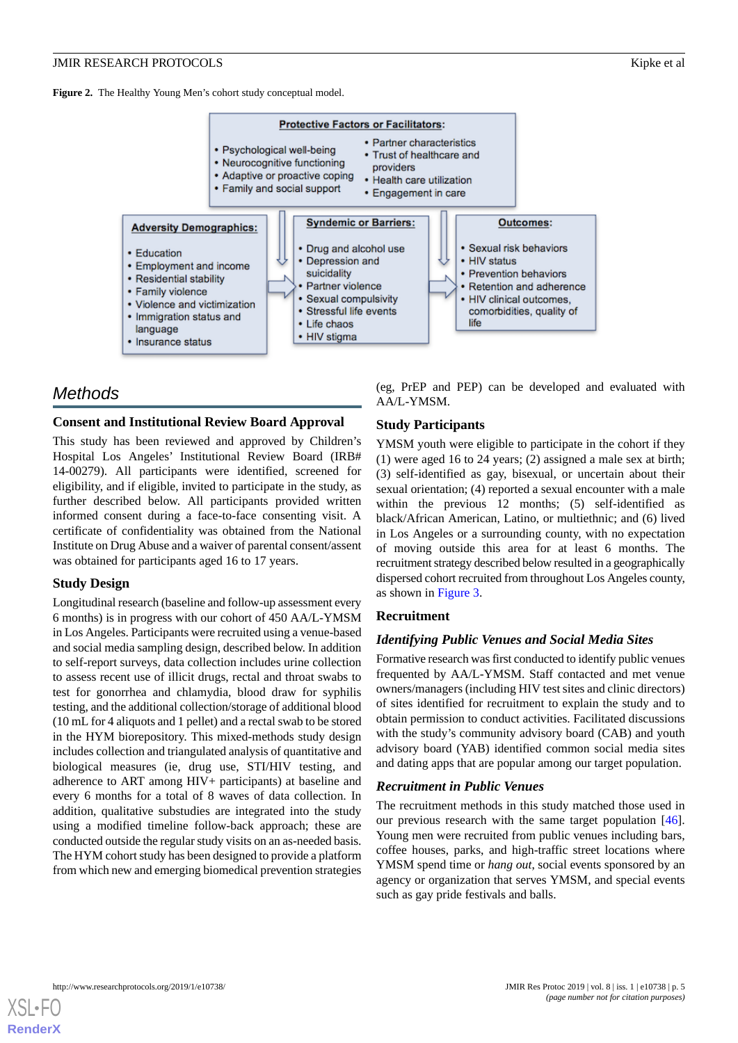<span id="page-4-0"></span>

# *Methods*

### **Consent and Institutional Review Board Approval**

This study has been reviewed and approved by Children's Hospital Los Angeles' Institutional Review Board (IRB# 14-00279). All participants were identified, screened for eligibility, and if eligible, invited to participate in the study, as further described below. All participants provided written informed consent during a face-to-face consenting visit. A certificate of confidentiality was obtained from the National Institute on Drug Abuse and a waiver of parental consent/assent was obtained for participants aged 16 to 17 years.

# **Study Design**

Longitudinal research (baseline and follow-up assessment every 6 months) is in progress with our cohort of 450 AA/L-YMSM in Los Angeles. Participants were recruited using a venue-based and social media sampling design, described below. In addition to self-report surveys, data collection includes urine collection to assess recent use of illicit drugs, rectal and throat swabs to test for gonorrhea and chlamydia, blood draw for syphilis testing, and the additional collection/storage of additional blood (10 mL for 4 aliquots and 1 pellet) and a rectal swab to be stored in the HYM biorepository. This mixed-methods study design includes collection and triangulated analysis of quantitative and biological measures (ie, drug use, STI/HIV testing, and adherence to ART among HIV+ participants) at baseline and every 6 months for a total of 8 waves of data collection. In addition, qualitative substudies are integrated into the study using a modified timeline follow-back approach; these are conducted outside the regular study visits on an as-needed basis. The HYM cohort study has been designed to provide a platform from which new and emerging biomedical prevention strategies

(eg, PrEP and PEP) can be developed and evaluated with AA/L-YMSM.

# **Study Participants**

YMSM youth were eligible to participate in the cohort if they (1) were aged 16 to 24 years; (2) assigned a male sex at birth; (3) self-identified as gay, bisexual, or uncertain about their sexual orientation; (4) reported a sexual encounter with a male within the previous 12 months; (5) self-identified as black/African American, Latino, or multiethnic; and (6) lived in Los Angeles or a surrounding county, with no expectation of moving outside this area for at least 6 months. The recruitment strategy described below resulted in a geographically dispersed cohort recruited from throughout Los Angeles county, as shown in [Figure 3.](#page-5-0)

# **Recruitment**

# *Identifying Public Venues and Social Media Sites*

Formative research was first conducted to identify public venues frequented by AA/L-YMSM. Staff contacted and met venue owners/managers (including HIV test sites and clinic directors) of sites identified for recruitment to explain the study and to obtain permission to conduct activities. Facilitated discussions with the study's community advisory board (CAB) and youth advisory board (YAB) identified common social media sites and dating apps that are popular among our target population.

# *Recruitment in Public Venues*

The recruitment methods in this study matched those used in our previous research with the same target population [[46\]](#page-11-0). Young men were recruited from public venues including bars, coffee houses, parks, and high-traffic street locations where YMSM spend time or *hang out*, social events sponsored by an agency or organization that serves YMSM, and special events such as gay pride festivals and balls.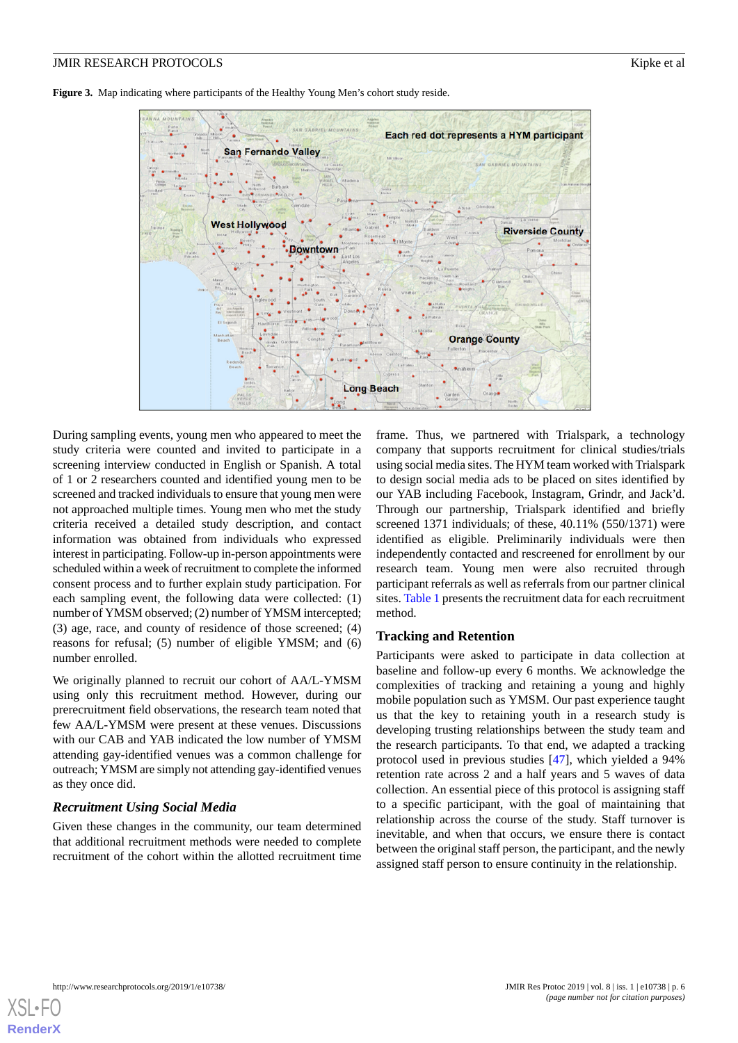<span id="page-5-0"></span>**Figure 3.** Map indicating where participants of the Healthy Young Men's cohort study reside.



During sampling events, young men who appeared to meet the study criteria were counted and invited to participate in a screening interview conducted in English or Spanish. A total of 1 or 2 researchers counted and identified young men to be screened and tracked individuals to ensure that young men were not approached multiple times. Young men who met the study criteria received a detailed study description, and contact information was obtained from individuals who expressed interest in participating. Follow-up in-person appointments were scheduled within a week of recruitment to complete the informed consent process and to further explain study participation. For each sampling event, the following data were collected: (1) number of YMSM observed; (2) number of YMSM intercepted; (3) age, race, and county of residence of those screened; (4) reasons for refusal; (5) number of eligible YMSM; and (6) number enrolled.

We originally planned to recruit our cohort of AA/L-YMSM using only this recruitment method. However, during our prerecruitment field observations, the research team noted that few AA/L-YMSM were present at these venues. Discussions with our CAB and YAB indicated the low number of YMSM attending gay-identified venues was a common challenge for outreach; YMSM are simply not attending gay-identified venues as they once did.

### *Recruitment Using Social Media*

Given these changes in the community, our team determined that additional recruitment methods were needed to complete recruitment of the cohort within the allotted recruitment time frame. Thus, we partnered with Trialspark, a technology company that supports recruitment for clinical studies/trials using social media sites. The HYM team worked with Trialspark to design social media ads to be placed on sites identified by our YAB including Facebook, Instagram, Grindr, and Jack'd. Through our partnership, Trialspark identified and briefly screened 1371 individuals; of these, 40.11% (550/1371) were identified as eligible. Preliminarily individuals were then independently contacted and rescreened for enrollment by our research team. Young men were also recruited through participant referrals as well as referrals from our partner clinical sites. [Table 1](#page-6-0) presents the recruitment data for each recruitment method.

### **Tracking and Retention**

Participants were asked to participate in data collection at baseline and follow-up every 6 months. We acknowledge the complexities of tracking and retaining a young and highly mobile population such as YMSM. Our past experience taught us that the key to retaining youth in a research study is developing trusting relationships between the study team and the research participants. To that end, we adapted a tracking protocol used in previous studies [\[47](#page-11-1)], which yielded a 94% retention rate across 2 and a half years and 5 waves of data collection. An essential piece of this protocol is assigning staff to a specific participant, with the goal of maintaining that relationship across the course of the study. Staff turnover is inevitable, and when that occurs, we ensure there is contact between the original staff person, the participant, and the newly assigned staff person to ensure continuity in the relationship.

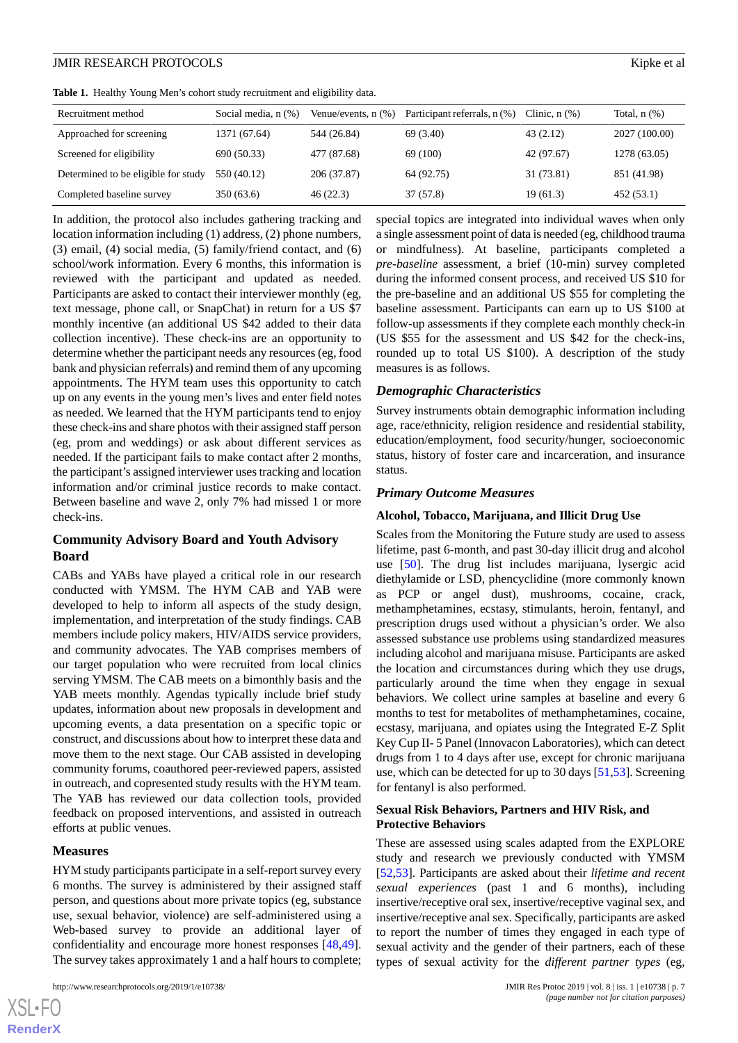<span id="page-6-0"></span>

|  |  |  |  |  |  | Table 1. Healthy Young Men's cohort study recruitment and eligibility data. |  |  |  |
|--|--|--|--|--|--|-----------------------------------------------------------------------------|--|--|--|
|--|--|--|--|--|--|-----------------------------------------------------------------------------|--|--|--|

| Recruitment method                  | Social media, n (%) | Venue/events, $n$ $(\%)$ | Participant referrals, n (%) | Clinic, $n$ $(\%)$ | Total, $n$ $(\%)$ |
|-------------------------------------|---------------------|--------------------------|------------------------------|--------------------|-------------------|
| Approached for screening            | 1371 (67.64)        | 544 (26.84)              | 69 (3.40)                    | 43(2.12)           | 2027 (100.00)     |
| Screened for eligibility            | 690 (50.33)         | 477 (87.68)              | 69 (100)                     | 42 (97.67)         | 1278 (63.05)      |
| Determined to be eligible for study | 550 (40.12)         | 206 (37.87)              | 64 (92.75)                   | 31 (73.81)         | 851 (41.98)       |
| Completed baseline survey           | 350(63.6)           | 46(22.3)                 | 37(57.8)                     | 19 (61.3)          | 452 (53.1)        |

In addition, the protocol also includes gathering tracking and location information including (1) address, (2) phone numbers, (3) email, (4) social media, (5) family/friend contact, and (6) school/work information. Every 6 months, this information is reviewed with the participant and updated as needed. Participants are asked to contact their interviewer monthly (eg, text message, phone call, or SnapChat) in return for a US \$7 monthly incentive (an additional US \$42 added to their data collection incentive). These check-ins are an opportunity to determine whether the participant needs any resources (eg, food bank and physician referrals) and remind them of any upcoming appointments. The HYM team uses this opportunity to catch up on any events in the young men's lives and enter field notes as needed. We learned that the HYM participants tend to enjoy these check-ins and share photos with their assigned staff person (eg, prom and weddings) or ask about different services as needed. If the participant fails to make contact after 2 months, the participant's assigned interviewer uses tracking and location information and/or criminal justice records to make contact. Between baseline and wave 2, only 7% had missed 1 or more check-ins.

### **Community Advisory Board and Youth Advisory Board**

CABs and YABs have played a critical role in our research conducted with YMSM. The HYM CAB and YAB were developed to help to inform all aspects of the study design, implementation, and interpretation of the study findings. CAB members include policy makers, HIV/AIDS service providers, and community advocates. The YAB comprises members of our target population who were recruited from local clinics serving YMSM. The CAB meets on a bimonthly basis and the YAB meets monthly. Agendas typically include brief study updates, information about new proposals in development and upcoming events, a data presentation on a specific topic or construct, and discussions about how to interpret these data and move them to the next stage. Our CAB assisted in developing community forums, coauthored peer-reviewed papers, assisted in outreach, and copresented study results with the HYM team. The YAB has reviewed our data collection tools, provided feedback on proposed interventions, and assisted in outreach efforts at public venues.

#### **Measures**

HYM study participants participate in a self-report survey every 6 months. The survey is administered by their assigned staff person, and questions about more private topics (eg, substance use, sexual behavior, violence) are self-administered using a Web-based survey to provide an additional layer of confidentiality and encourage more honest responses [\[48](#page-11-2),[49\]](#page-11-3). The survey takes approximately 1 and a half hours to complete;

special topics are integrated into individual waves when only a single assessment point of data is needed (eg, childhood trauma or mindfulness). At baseline, participants completed a *pre-baseline* assessment, a brief (10-min) survey completed during the informed consent process, and received US \$10 for the pre-baseline and an additional US \$55 for completing the baseline assessment. Participants can earn up to US \$100 at follow-up assessments if they complete each monthly check-in (US \$55 for the assessment and US \$42 for the check-ins, rounded up to total US \$100). A description of the study measures is as follows.

#### *Demographic Characteristics*

Survey instruments obtain demographic information including age, race/ethnicity, religion residence and residential stability, education/employment, food security/hunger, socioeconomic status, history of foster care and incarceration, and insurance status.

#### *Primary Outcome Measures*

#### **Alcohol, Tobacco, Marijuana, and Illicit Drug Use**

Scales from the Monitoring the Future study are used to assess lifetime, past 6-month, and past 30-day illicit drug and alcohol use [\[50](#page-11-4)]. The drug list includes marijuana, lysergic acid diethylamide or LSD, phencyclidine (more commonly known as PCP or angel dust), mushrooms, cocaine, crack, methamphetamines, ecstasy, stimulants, heroin, fentanyl, and prescription drugs used without a physician's order. We also assessed substance use problems using standardized measures including alcohol and marijuana misuse. Participants are asked the location and circumstances during which they use drugs, particularly around the time when they engage in sexual behaviors. We collect urine samples at baseline and every 6 months to test for metabolites of methamphetamines, cocaine, ecstasy, marijuana, and opiates using the Integrated E-Z Split Key Cup II- 5 Panel (Innovacon Laboratories), which can detect drugs from 1 to 4 days after use, except for chronic marijuana use, which can be detected for up to 30 days [\[51](#page-11-5),[53\]](#page-11-6). Screening for fentanyl is also performed.

### **Sexual Risk Behaviors, Partners and HIV Risk, and Protective Behaviors**

These are assessed using scales adapted from the EXPLORE study and research we previously conducted with YMSM [[52,](#page-11-7)[53\]](#page-11-6). Participants are asked about their *lifetime and recent sexual experiences* (past 1 and 6 months), including insertive/receptive oral sex, insertive/receptive vaginal sex, and insertive/receptive anal sex. Specifically, participants are asked to report the number of times they engaged in each type of sexual activity and the gender of their partners, each of these types of sexual activity for the *different partner types* (eg,

 $XS$  • FC **[RenderX](http://www.renderx.com/)**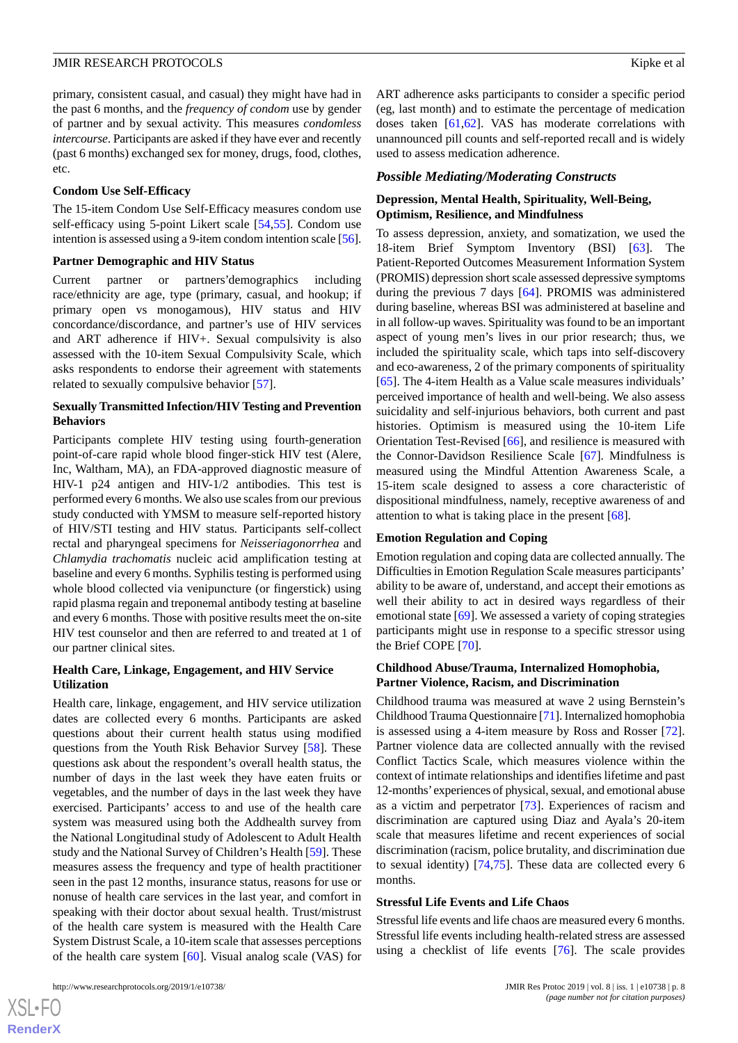primary, consistent casual, and casual) they might have had in the past 6 months, and the *frequency of condom* use by gender of partner and by sexual activity. This measures *condomless intercourse*. Participants are asked if they have ever and recently (past 6 months) exchanged sex for money, drugs, food, clothes, etc.

#### **Condom Use Self-Efficacy**

The 15-item Condom Use Self-Efficacy measures condom use self-efficacy using 5-point Likert scale [\[54](#page-11-8),[55\]](#page-11-9). Condom use intention is assessed using a 9-item condom intention scale [\[56\]](#page-11-10).

#### **Partner Demographic and HIV Status**

Current partner or partners'demographics including race/ethnicity are age, type (primary, casual, and hookup; if primary open vs monogamous), HIV status and HIV concordance/discordance, and partner's use of HIV services and ART adherence if HIV+. Sexual compulsivity is also assessed with the 10-item Sexual Compulsivity Scale, which asks respondents to endorse their agreement with statements related to sexually compulsive behavior [\[57](#page-11-11)].

#### **Sexually Transmitted Infection/HIV Testing and Prevention Behaviors**

Participants complete HIV testing using fourth-generation point-of-care rapid whole blood finger-stick HIV test (Alere, Inc, Waltham, MA), an FDA-approved diagnostic measure of HIV-1 p24 antigen and HIV-1/2 antibodies. This test is performed every 6 months. We also use scales from our previous study conducted with YMSM to measure self-reported history of HIV/STI testing and HIV status*.* Participants self-collect rectal and pharyngeal specimens for *Neisseriagonorrhea* and *Chlamydia trachomatis* nucleic acid amplification testing at baseline and every 6 months. Syphilis testing is performed using whole blood collected via venipuncture (or fingerstick) using rapid plasma regain and treponemal antibody testing at baseline and every 6 months. Those with positive results meet the on-site HIV test counselor and then are referred to and treated at 1 of our partner clinical sites.

#### **Health Care, Linkage, Engagement, and HIV Service Utilization**

Health care, linkage, engagement, and HIV service utilization dates are collected every 6 months. Participants are asked questions about their current health status using modified questions from the Youth Risk Behavior Survey [\[58](#page-11-12)]. These questions ask about the respondent's overall health status, the number of days in the last week they have eaten fruits or vegetables, and the number of days in the last week they have exercised. Participants' access to and use of the health care system was measured using both the Addhealth survey from the National Longitudinal study of Adolescent to Adult Health study and the National Survey of Children's Health [[59\]](#page-11-13). These measures assess the frequency and type of health practitioner seen in the past 12 months, insurance status, reasons for use or nonuse of health care services in the last year, and comfort in speaking with their doctor about sexual health. Trust/mistrust of the health care system is measured with the Health Care System Distrust Scale, a 10-item scale that assesses perceptions of the health care system [[60\]](#page-11-14). Visual analog scale (VAS) for

ART adherence asks participants to consider a specific period (eg, last month) and to estimate the percentage of medication doses taken [\[61](#page-11-15)[,62](#page-11-16)]. VAS has moderate correlations with unannounced pill counts and self-reported recall and is widely used to assess medication adherence.

#### *Possible Mediating/Moderating Constructs*

### **Depression, Mental Health, Spirituality, Well-Being, Optimism, Resilience, and Mindfulness**

To assess depression, anxiety, and somatization, we used the 18-item Brief Symptom Inventory (BSI) [[63\]](#page-11-17). The Patient-Reported Outcomes Measurement Information System (PROMIS) depression short scale assessed depressive symptoms during the previous 7 days [[64\]](#page-11-18). PROMIS was administered during baseline, whereas BSI was administered at baseline and in all follow-up waves. Spirituality was found to be an important aspect of young men's lives in our prior research; thus, we included the spirituality scale, which taps into self-discovery and eco-awareness, 2 of the primary components of spirituality [[65\]](#page-11-19). The 4-item Health as a Value scale measures individuals' perceived importance of health and well-being. We also assess suicidality and self-injurious behaviors, both current and past histories. Optimism is measured using the 10-item Life Orientation Test-Revised [\[66](#page-11-20)], and resilience is measured with the Connor-Davidson Resilience Scale [\[67](#page-11-21)]. Mindfulness is measured using the Mindful Attention Awareness Scale, a 15-item scale designed to assess a core characteristic of dispositional mindfulness, namely, receptive awareness of and attention to what is taking place in the present [\[68](#page-11-22)].

#### **Emotion Regulation and Coping**

Emotion regulation and coping data are collected annually. The Difficulties in Emotion Regulation Scale measures participants' ability to be aware of, understand, and accept their emotions as well their ability to act in desired ways regardless of their emotional state [[69\]](#page-12-0). We assessed a variety of coping strategies participants might use in response to a specific stressor using the Brief COPE [[70\]](#page-12-1).

### **Childhood Abuse/Trauma, Internalized Homophobia, Partner Violence, Racism, and Discrimination**

Childhood trauma was measured at wave 2 using Bernstein's Childhood Trauma Questionnaire [\[71](#page-12-2)]. Internalized homophobia is assessed using a 4-item measure by Ross and Rosser [[72\]](#page-12-3). Partner violence data are collected annually with the revised Conflict Tactics Scale, which measures violence within the context of intimate relationships and identifies lifetime and past 12-months'experiences of physical, sexual, and emotional abuse as a victim and perpetrator [\[73](#page-12-4)]. Experiences of racism and discrimination are captured using Diaz and Ayala's 20-item scale that measures lifetime and recent experiences of social discrimination (racism, police brutality, and discrimination due to sexual identity) [[74,](#page-12-5)[75](#page-12-6)]. These data are collected every 6 months.

#### **Stressful Life Events and Life Chaos**

Stressful life events and life chaos are measured every 6 months. Stressful life events including health-related stress are assessed using a checklist of life events [[76\]](#page-12-7). The scale provides

 $XS$  $\cdot$ FC **[RenderX](http://www.renderx.com/)**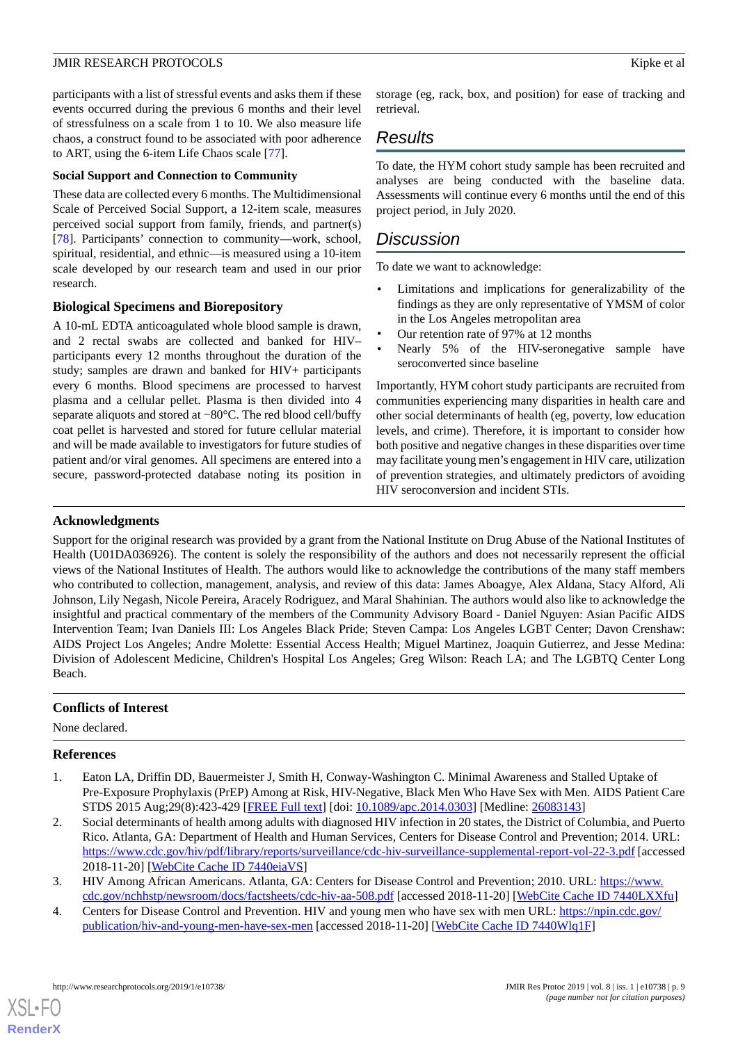participants with a list of stressful events and asks them if these events occurred during the previous 6 months and their level of stressfulness on a scale from 1 to 10. We also measure life chaos, a construct found to be associated with poor adherence to ART, using the 6-item Life Chaos scale [\[77](#page-12-8)].

### **Social Support and Connection to Community**

These data are collected every 6 months. The Multidimensional Scale of Perceived Social Support, a 12-item scale, measures perceived social support from family, friends, and partner(s) [[78\]](#page-12-9). Participants' connection to community—work, school, spiritual, residential, and ethnic—is measured using a 10-item scale developed by our research team and used in our prior research.

# **Biological Specimens and Biorepository**

A 10-mL EDTA anticoagulated whole blood sample is drawn, and 2 rectal swabs are collected and banked for HIV– participants every 12 months throughout the duration of the study; samples are drawn and banked for HIV+ participants every 6 months. Blood specimens are processed to harvest plasma and a cellular pellet. Plasma is then divided into 4 separate aliquots and stored at −80°C. The red blood cell/buffy coat pellet is harvested and stored for future cellular material and will be made available to investigators for future studies of patient and/or viral genomes. All specimens are entered into a secure, password-protected database noting its position in

storage (eg, rack, box, and position) for ease of tracking and retrieval.

# *Results*

To date, the HYM cohort study sample has been recruited and analyses are being conducted with the baseline data. Assessments will continue every 6 months until the end of this project period, in July 2020.

# *Discussion*

To date we want to acknowledge:

- Limitations and implications for generalizability of the findings as they are only representative of YMSM of color in the Los Angeles metropolitan area
- Our retention rate of 97% at 12 months
- Nearly 5% of the HIV-seronegative sample have seroconverted since baseline

Importantly, HYM cohort study participants are recruited from communities experiencing many disparities in health care and other social determinants of health (eg, poverty, low education levels, and crime). Therefore, it is important to consider how both positive and negative changes in these disparities over time may facilitate young men's engagement in HIV care, utilization of prevention strategies, and ultimately predictors of avoiding HIV seroconversion and incident STIs.

# **Acknowledgments**

Support for the original research was provided by a grant from the National Institute on Drug Abuse of the National Institutes of Health (U01DA036926). The content is solely the responsibility of the authors and does not necessarily represent the official views of the National Institutes of Health. The authors would like to acknowledge the contributions of the many staff members who contributed to collection, management, analysis, and review of this data: James Aboagye, Alex Aldana, Stacy Alford, Ali Johnson, Lily Negash, Nicole Pereira, Aracely Rodriguez, and Maral Shahinian. The authors would also like to acknowledge the insightful and practical commentary of the members of the Community Advisory Board - Daniel Nguyen: Asian Pacific AIDS Intervention Team; Ivan Daniels III: Los Angeles Black Pride; Steven Campa: Los Angeles LGBT Center; Davon Crenshaw: AIDS Project Los Angeles; Andre Molette: Essential Access Health; Miguel Martinez, Joaquin Gutierrez, and Jesse Medina: Division of Adolescent Medicine, Children's Hospital Los Angeles; Greg Wilson: Reach LA; and The LGBTQ Center Long Beach.

# <span id="page-8-0"></span>**Conflicts of Interest**

<span id="page-8-1"></span>None declared.

# **References**

- <span id="page-8-2"></span>1. Eaton LA, Driffin DD, Bauermeister J, Smith H, Conway-Washington C. Minimal Awareness and Stalled Uptake of Pre-Exposure Prophylaxis (PrEP) Among at Risk, HIV-Negative, Black Men Who Have Sex with Men. AIDS Patient Care STDS 2015 Aug;29(8):423-429 [[FREE Full text\]](http://europepmc.org/abstract/MED/26083143) [doi: [10.1089/apc.2014.0303](http://dx.doi.org/10.1089/apc.2014.0303)] [Medline: [26083143](http://www.ncbi.nlm.nih.gov/entrez/query.fcgi?cmd=Retrieve&db=PubMed&list_uids=26083143&dopt=Abstract)]
- <span id="page-8-3"></span>2. Social determinants of health among adults with diagnosed HIV infection in 20 states, the District of Columbia, and Puerto Rico. Atlanta, GA: Department of Health and Human Services, Centers for Disease Control and Prevention; 2014. URL: <https://www.cdc.gov/hiv/pdf/library/reports/surveillance/cdc-hiv-surveillance-supplemental-report-vol-22-3.pdf> [accessed 2018-11-20] [\[WebCite Cache ID 7440eiaVS\]](http://www.webcitation.org/

                                7440eiaVS)
- 3. HIV Among African Americans. Atlanta, GA: Centers for Disease Control and Prevention; 2010. URL: [https://www.](https://www.cdc.gov/nchhstp/newsroom/docs/factsheets/cdc-hiv-aa-508.pdf) [cdc.gov/nchhstp/newsroom/docs/factsheets/cdc-hiv-aa-508.pdf](https://www.cdc.gov/nchhstp/newsroom/docs/factsheets/cdc-hiv-aa-508.pdf) [accessed 2018-11-20] [\[WebCite Cache ID 7440LXXfu\]](http://www.webcitation.org/

                                7440LXXfu)
- 4. Centers for Disease Control and Prevention. HIV and young men who have sex with men URL: [https://npin.cdc.gov/](https://npin.cdc.gov/publication/hiv-and-young-men-have-sex-men) [publication/hiv-and-young-men-have-sex-men](https://npin.cdc.gov/publication/hiv-and-young-men-have-sex-men) [accessed 2018-11-20] [[WebCite Cache ID 7440Wlq1F](http://www.webcitation.org/

                                7440Wlq1F)]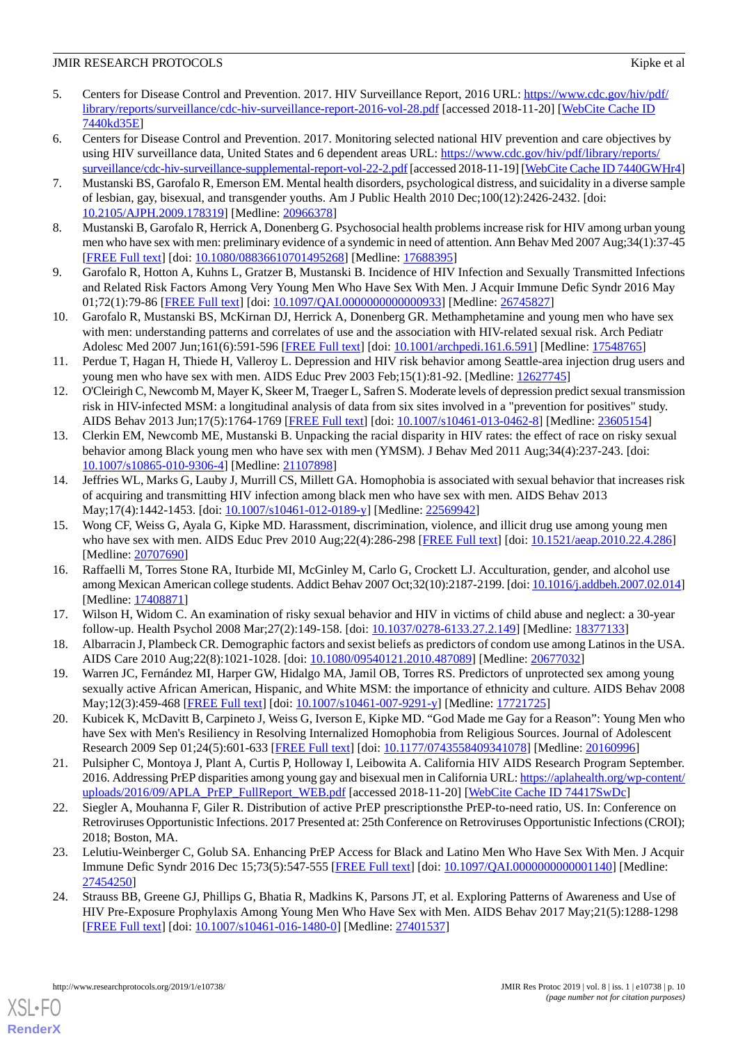- <span id="page-9-0"></span>5. Centers for Disease Control and Prevention. 2017. HIV Surveillance Report, 2016 URL: [https://www.cdc.gov/hiv/pdf/](https://www.cdc.gov/hiv/pdf/library/reports/surveillance/cdc-hiv-surveillance-report-2016-vol-28.pdf) [library/reports/surveillance/cdc-hiv-surveillance-report-2016-vol-28.pdf](https://www.cdc.gov/hiv/pdf/library/reports/surveillance/cdc-hiv-surveillance-report-2016-vol-28.pdf) [accessed 2018-11-20] [\[WebCite Cache ID](http://www.webcitation.org/

                                7440kd35E) [7440kd35E\]](http://www.webcitation.org/

                                7440kd35E)
- <span id="page-9-1"></span>6. Centers for Disease Control and Prevention. 2017. Monitoring selected national HIV prevention and care objectives by using HIV surveillance data, United States and 6 dependent areas URL: [https://www.cdc.gov/hiv/pdf/library/reports/](https://www.cdc.gov/hiv/pdf/library/reports/surveillance/cdc-hiv-surveillance-supplemental-report-vol-22-2.pdf) [surveillance/cdc-hiv-surveillance-supplemental-report-vol-22-2.pdf](https://www.cdc.gov/hiv/pdf/library/reports/surveillance/cdc-hiv-surveillance-supplemental-report-vol-22-2.pdf) [accessed 2018-11-19] [[WebCite Cache ID 7440GWHr4](http://www.webcitation.org/

                                7440GWHr4)]
- <span id="page-9-2"></span>7. Mustanski BS, Garofalo R, Emerson EM. Mental health disorders, psychological distress, and suicidality in a diverse sample of lesbian, gay, bisexual, and transgender youths. Am J Public Health 2010 Dec;100(12):2426-2432. [doi: [10.2105/AJPH.2009.178319\]](http://dx.doi.org/10.2105/AJPH.2009.178319) [Medline: [20966378](http://www.ncbi.nlm.nih.gov/entrez/query.fcgi?cmd=Retrieve&db=PubMed&list_uids=20966378&dopt=Abstract)]
- <span id="page-9-15"></span>8. Mustanski B, Garofalo R, Herrick A, Donenberg G. Psychosocial health problems increase risk for HIV among urban young men who have sex with men: preliminary evidence of a syndemic in need of attention. Ann Behav Med 2007 Aug;34(1):37-45 [[FREE Full text](http://europepmc.org/abstract/MED/17688395)] [doi: [10.1080/08836610701495268\]](http://dx.doi.org/10.1080/08836610701495268) [Medline: [17688395\]](http://www.ncbi.nlm.nih.gov/entrez/query.fcgi?cmd=Retrieve&db=PubMed&list_uids=17688395&dopt=Abstract)
- 9. Garofalo R, Hotton A, Kuhns L, Gratzer B, Mustanski B. Incidence of HIV Infection and Sexually Transmitted Infections and Related Risk Factors Among Very Young Men Who Have Sex With Men. J Acquir Immune Defic Syndr 2016 May 01;72(1):79-86 [[FREE Full text](http://europepmc.org/abstract/MED/26745827)] [doi: [10.1097/QAI.0000000000000933](http://dx.doi.org/10.1097/QAI.0000000000000933)] [Medline: [26745827\]](http://www.ncbi.nlm.nih.gov/entrez/query.fcgi?cmd=Retrieve&db=PubMed&list_uids=26745827&dopt=Abstract)
- 10. Garofalo R, Mustanski BS, McKirnan DJ, Herrick A, Donenberg GR. Methamphetamine and young men who have sex with men: understanding patterns and correlates of use and the association with HIV-related sexual risk. Arch Pediatr Adolesc Med 2007 Jun;161(6):591-596 [\[FREE Full text\]](http://europepmc.org/abstract/MED/17548765) [doi: [10.1001/archpedi.161.6.591](http://dx.doi.org/10.1001/archpedi.161.6.591)] [Medline: [17548765](http://www.ncbi.nlm.nih.gov/entrez/query.fcgi?cmd=Retrieve&db=PubMed&list_uids=17548765&dopt=Abstract)]
- <span id="page-9-3"></span>11. Perdue T, Hagan H, Thiede H, Valleroy L. Depression and HIV risk behavior among Seattle-area injection drug users and young men who have sex with men. AIDS Educ Prev 2003 Feb;15(1):81-92. [Medline: [12627745](http://www.ncbi.nlm.nih.gov/entrez/query.fcgi?cmd=Retrieve&db=PubMed&list_uids=12627745&dopt=Abstract)]
- <span id="page-9-4"></span>12. O'Cleirigh C, Newcomb M, Mayer K, Skeer M, Traeger L, Safren S. Moderate levels of depression predict sexual transmission risk in HIV-infected MSM: a longitudinal analysis of data from six sites involved in a "prevention for positives" study. AIDS Behav 2013 Jun;17(5):1764-1769 [[FREE Full text](http://europepmc.org/abstract/MED/23605154)] [doi: [10.1007/s10461-013-0462-8\]](http://dx.doi.org/10.1007/s10461-013-0462-8) [Medline: [23605154](http://www.ncbi.nlm.nih.gov/entrez/query.fcgi?cmd=Retrieve&db=PubMed&list_uids=23605154&dopt=Abstract)]
- <span id="page-9-5"></span>13. Clerkin EM, Newcomb ME, Mustanski B. Unpacking the racial disparity in HIV rates: the effect of race on risky sexual behavior among Black young men who have sex with men (YMSM). J Behav Med 2011 Aug;34(4):237-243. [doi: [10.1007/s10865-010-9306-4\]](http://dx.doi.org/10.1007/s10865-010-9306-4) [Medline: [21107898](http://www.ncbi.nlm.nih.gov/entrez/query.fcgi?cmd=Retrieve&db=PubMed&list_uids=21107898&dopt=Abstract)]
- <span id="page-9-6"></span>14. Jeffries WL, Marks G, Lauby J, Murrill CS, Millett GA. Homophobia is associated with sexual behavior that increases risk of acquiring and transmitting HIV infection among black men who have sex with men. AIDS Behav 2013 May;17(4):1442-1453. [doi: [10.1007/s10461-012-0189-y\]](http://dx.doi.org/10.1007/s10461-012-0189-y) [Medline: [22569942\]](http://www.ncbi.nlm.nih.gov/entrez/query.fcgi?cmd=Retrieve&db=PubMed&list_uids=22569942&dopt=Abstract)
- <span id="page-9-7"></span>15. Wong CF, Weiss G, Ayala G, Kipke MD. Harassment, discrimination, violence, and illicit drug use among young men who have sex with men. AIDS Educ Prev 2010 Aug; 22(4): 286-298 [\[FREE Full text](http://europepmc.org/abstract/MED/20707690)] [doi: [10.1521/aeap.2010.22.4.286](http://dx.doi.org/10.1521/aeap.2010.22.4.286)] [Medline: [20707690](http://www.ncbi.nlm.nih.gov/entrez/query.fcgi?cmd=Retrieve&db=PubMed&list_uids=20707690&dopt=Abstract)]
- <span id="page-9-8"></span>16. Raffaelli M, Torres Stone RA, Iturbide MI, McGinley M, Carlo G, Crockett LJ. Acculturation, gender, and alcohol use among Mexican American college students. Addict Behav 2007 Oct;32(10):2187-2199. [doi: [10.1016/j.addbeh.2007.02.014\]](http://dx.doi.org/10.1016/j.addbeh.2007.02.014) [Medline: [17408871](http://www.ncbi.nlm.nih.gov/entrez/query.fcgi?cmd=Retrieve&db=PubMed&list_uids=17408871&dopt=Abstract)]
- <span id="page-9-9"></span>17. Wilson H, Widom C. An examination of risky sexual behavior and HIV in victims of child abuse and neglect: a 30-year follow-up. Health Psychol 2008 Mar;27(2):149-158. [doi: [10.1037/0278-6133.27.2.149](http://dx.doi.org/10.1037/0278-6133.27.2.149)] [Medline: [18377133](http://www.ncbi.nlm.nih.gov/entrez/query.fcgi?cmd=Retrieve&db=PubMed&list_uids=18377133&dopt=Abstract)]
- <span id="page-9-10"></span>18. Albarracin J, Plambeck CR. Demographic factors and sexist beliefs as predictors of condom use among Latinos in the USA. AIDS Care 2010 Aug;22(8):1021-1028. [doi: [10.1080/09540121.2010.487089\]](http://dx.doi.org/10.1080/09540121.2010.487089) [Medline: [20677032](http://www.ncbi.nlm.nih.gov/entrez/query.fcgi?cmd=Retrieve&db=PubMed&list_uids=20677032&dopt=Abstract)]
- <span id="page-9-11"></span>19. Warren JC, Fernández MI, Harper GW, Hidalgo MA, Jamil OB, Torres RS. Predictors of unprotected sex among young sexually active African American, Hispanic, and White MSM: the importance of ethnicity and culture. AIDS Behav 2008 May;12(3):459-468 [\[FREE Full text\]](http://europepmc.org/abstract/MED/17721725) [doi: [10.1007/s10461-007-9291-y](http://dx.doi.org/10.1007/s10461-007-9291-y)] [Medline: [17721725\]](http://www.ncbi.nlm.nih.gov/entrez/query.fcgi?cmd=Retrieve&db=PubMed&list_uids=17721725&dopt=Abstract)
- <span id="page-9-12"></span>20. Kubicek K, McDavitt B, Carpineto J, Weiss G, Iverson E, Kipke MD. "God Made me Gay for a Reason": Young Men who have Sex with Men's Resiliency in Resolving Internalized Homophobia from Religious Sources. Journal of Adolescent Research 2009 Sep 01;24(5):601-633 [\[FREE Full text](http://europepmc.org/abstract/MED/20160996)] [doi: [10.1177/0743558409341078\]](http://dx.doi.org/10.1177/0743558409341078) [Medline: [20160996\]](http://www.ncbi.nlm.nih.gov/entrez/query.fcgi?cmd=Retrieve&db=PubMed&list_uids=20160996&dopt=Abstract)
- <span id="page-9-13"></span>21. Pulsipher C, Montoya J, Plant A, Curtis P, Holloway I, Leibowita A. California HIV AIDS Research Program September. 2016. Addressing PrEP disparities among young gay and bisexual men in California URL: [https://aplahealth.org/wp-content/](https://aplahealth.org/wp-content/uploads/2016/09/APLA_PrEP_FullReport_WEB.pdf) [uploads/2016/09/APLA\\_PrEP\\_FullReport\\_WEB.pdf](https://aplahealth.org/wp-content/uploads/2016/09/APLA_PrEP_FullReport_WEB.pdf) [accessed 2018-11-20] [\[WebCite Cache ID 74417SwDc](http://www.webcitation.org/

                                74417SwDc)]
- <span id="page-9-14"></span>22. Siegler A, Mouhanna F, Giler R. Distribution of active PrEP prescriptionsthe PrEP-to-need ratio, US. In: Conference on Retroviruses Opportunistic Infections. 2017 Presented at: 25th Conference on Retroviruses Opportunistic Infections (CROI); 2018; Boston, MA.
- 23. Lelutiu-Weinberger C, Golub SA. Enhancing PrEP Access for Black and Latino Men Who Have Sex With Men. J Acquir Immune Defic Syndr 2016 Dec 15;73(5):547-555 [[FREE Full text](http://europepmc.org/abstract/MED/27454250)] [doi: [10.1097/QAI.0000000000001140\]](http://dx.doi.org/10.1097/QAI.0000000000001140) [Medline: [27454250](http://www.ncbi.nlm.nih.gov/entrez/query.fcgi?cmd=Retrieve&db=PubMed&list_uids=27454250&dopt=Abstract)]
- 24. Strauss BB, Greene GJ, Phillips G, Bhatia R, Madkins K, Parsons JT, et al. Exploring Patterns of Awareness and Use of HIV Pre-Exposure Prophylaxis Among Young Men Who Have Sex with Men. AIDS Behav 2017 May;21(5):1288-1298 [[FREE Full text](http://europepmc.org/abstract/MED/27401537)] [doi: [10.1007/s10461-016-1480-0\]](http://dx.doi.org/10.1007/s10461-016-1480-0) [Medline: [27401537](http://www.ncbi.nlm.nih.gov/entrez/query.fcgi?cmd=Retrieve&db=PubMed&list_uids=27401537&dopt=Abstract)]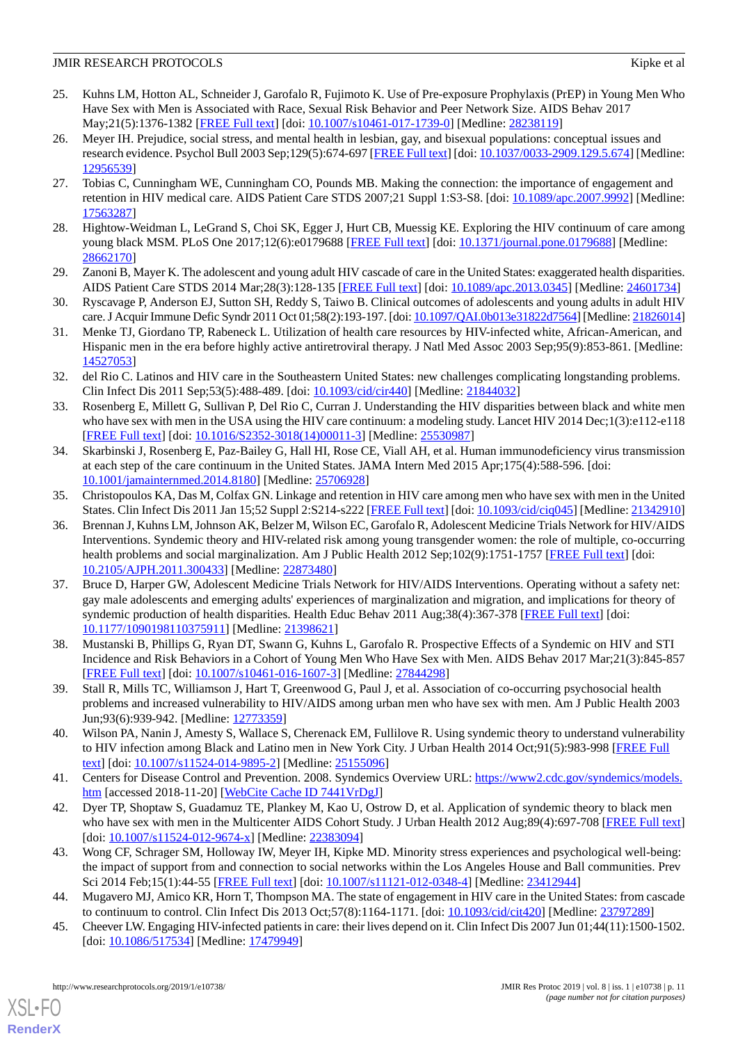- <span id="page-10-0"></span>25. Kuhns LM, Hotton AL, Schneider J, Garofalo R, Fujimoto K. Use of Pre-exposure Prophylaxis (PrEP) in Young Men Who Have Sex with Men is Associated with Race, Sexual Risk Behavior and Peer Network Size. AIDS Behav 2017 May;21(5):1376-1382 [\[FREE Full text\]](http://europepmc.org/abstract/MED/28238119) [doi: [10.1007/s10461-017-1739-0](http://dx.doi.org/10.1007/s10461-017-1739-0)] [Medline: [28238119\]](http://www.ncbi.nlm.nih.gov/entrez/query.fcgi?cmd=Retrieve&db=PubMed&list_uids=28238119&dopt=Abstract)
- <span id="page-10-1"></span>26. Meyer IH. Prejudice, social stress, and mental health in lesbian, gay, and bisexual populations: conceptual issues and research evidence. Psychol Bull 2003 Sep;129(5):674-697 [[FREE Full text\]](http://europepmc.org/abstract/MED/12956539) [doi: [10.1037/0033-2909.129.5.674](http://dx.doi.org/10.1037/0033-2909.129.5.674)] [Medline: [12956539](http://www.ncbi.nlm.nih.gov/entrez/query.fcgi?cmd=Retrieve&db=PubMed&list_uids=12956539&dopt=Abstract)]
- <span id="page-10-2"></span>27. Tobias C, Cunningham WE, Cunningham CO, Pounds MB. Making the connection: the importance of engagement and retention in HIV medical care. AIDS Patient Care STDS 2007;21 Suppl 1:S3-S8. [doi: [10.1089/apc.2007.9992\]](http://dx.doi.org/10.1089/apc.2007.9992) [Medline: [17563287](http://www.ncbi.nlm.nih.gov/entrez/query.fcgi?cmd=Retrieve&db=PubMed&list_uids=17563287&dopt=Abstract)]
- <span id="page-10-5"></span><span id="page-10-3"></span>28. Hightow-Weidman L, LeGrand S, Choi SK, Egger J, Hurt CB, Muessig KE. Exploring the HIV continuum of care among young black MSM. PLoS One 2017;12(6):e0179688 [[FREE Full text](http://dx.plos.org/10.1371/journal.pone.0179688)] [doi: [10.1371/journal.pone.0179688\]](http://dx.doi.org/10.1371/journal.pone.0179688) [Medline: [28662170](http://www.ncbi.nlm.nih.gov/entrez/query.fcgi?cmd=Retrieve&db=PubMed&list_uids=28662170&dopt=Abstract)]
- <span id="page-10-4"></span>29. Zanoni B, Mayer K. The adolescent and young adult HIV cascade of care in the United States: exaggerated health disparities. AIDS Patient Care STDS 2014 Mar;28(3):128-135 [\[FREE Full text\]](http://europepmc.org/abstract/MED/24601734) [doi: [10.1089/apc.2013.0345](http://dx.doi.org/10.1089/apc.2013.0345)] [Medline: [24601734\]](http://www.ncbi.nlm.nih.gov/entrez/query.fcgi?cmd=Retrieve&db=PubMed&list_uids=24601734&dopt=Abstract)
- <span id="page-10-6"></span>30. Ryscavage P, Anderson EJ, Sutton SH, Reddy S, Taiwo B. Clinical outcomes of adolescents and young adults in adult HIV care. J Acquir Immune Defic Syndr 2011 Oct 01;58(2):193-197. [doi: [10.1097/QAI.0b013e31822d7564](http://dx.doi.org/10.1097/QAI.0b013e31822d7564)] [Medline: [21826014\]](http://www.ncbi.nlm.nih.gov/entrez/query.fcgi?cmd=Retrieve&db=PubMed&list_uids=21826014&dopt=Abstract)
- <span id="page-10-7"></span>31. Menke TJ, Giordano TP, Rabeneck L. Utilization of health care resources by HIV-infected white, African-American, and Hispanic men in the era before highly active antiretroviral therapy. J Natl Med Assoc 2003 Sep;95(9):853-861. [Medline: [14527053](http://www.ncbi.nlm.nih.gov/entrez/query.fcgi?cmd=Retrieve&db=PubMed&list_uids=14527053&dopt=Abstract)]
- <span id="page-10-8"></span>32. del Rio C. Latinos and HIV care in the Southeastern United States: new challenges complicating longstanding problems. Clin Infect Dis 2011 Sep;53(5):488-489. [doi: [10.1093/cid/cir440\]](http://dx.doi.org/10.1093/cid/cir440) [Medline: [21844032](http://www.ncbi.nlm.nih.gov/entrez/query.fcgi?cmd=Retrieve&db=PubMed&list_uids=21844032&dopt=Abstract)]
- <span id="page-10-9"></span>33. Rosenberg E, Millett G, Sullivan P, Del Rio C, Curran J. Understanding the HIV disparities between black and white men who have sex with men in the USA using the HIV care continuum: a modeling study. Lancet HIV 2014 Dec;1(3):e112-e118 [[FREE Full text](http://europepmc.org/abstract/MED/25530987)] [doi: [10.1016/S2352-3018\(14\)00011-3\]](http://dx.doi.org/10.1016/S2352-3018(14)00011-3) [Medline: [25530987](http://www.ncbi.nlm.nih.gov/entrez/query.fcgi?cmd=Retrieve&db=PubMed&list_uids=25530987&dopt=Abstract)]
- <span id="page-10-10"></span>34. Skarbinski J, Rosenberg E, Paz-Bailey G, Hall HI, Rose CE, Viall AH, et al. Human immunodeficiency virus transmission at each step of the care continuum in the United States. JAMA Intern Med 2015 Apr;175(4):588-596. [doi: [10.1001/jamainternmed.2014.8180\]](http://dx.doi.org/10.1001/jamainternmed.2014.8180) [Medline: [25706928\]](http://www.ncbi.nlm.nih.gov/entrez/query.fcgi?cmd=Retrieve&db=PubMed&list_uids=25706928&dopt=Abstract)
- <span id="page-10-11"></span>35. Christopoulos KA, Das M, Colfax GN. Linkage and retention in HIV care among men who have sex with men in the United States. Clin Infect Dis 2011 Jan 15;52 Suppl 2:S214-s222 [\[FREE Full text\]](http://europepmc.org/abstract/MED/21342910) [doi: [10.1093/cid/ciq045\]](http://dx.doi.org/10.1093/cid/ciq045) [Medline: [21342910](http://www.ncbi.nlm.nih.gov/entrez/query.fcgi?cmd=Retrieve&db=PubMed&list_uids=21342910&dopt=Abstract)]
- 36. Brennan J, Kuhns LM, Johnson AK, Belzer M, Wilson EC, Garofalo R, Adolescent Medicine Trials Network for HIV/AIDS Interventions. Syndemic theory and HIV-related risk among young transgender women: the role of multiple, co-occurring health problems and social marginalization. Am J Public Health 2012 Sep;102(9):1751-1757 [[FREE Full text\]](http://europepmc.org/abstract/MED/22873480) [doi: [10.2105/AJPH.2011.300433\]](http://dx.doi.org/10.2105/AJPH.2011.300433) [Medline: [22873480](http://www.ncbi.nlm.nih.gov/entrez/query.fcgi?cmd=Retrieve&db=PubMed&list_uids=22873480&dopt=Abstract)]
- <span id="page-10-12"></span>37. Bruce D, Harper GW, Adolescent Medicine Trials Network for HIV/AIDS Interventions. Operating without a safety net: gay male adolescents and emerging adults' experiences of marginalization and migration, and implications for theory of syndemic production of health disparities. Health Educ Behav 2011 Aug;38(4):367-378 [\[FREE Full text\]](http://europepmc.org/abstract/MED/21398621) [doi: [10.1177/1090198110375911\]](http://dx.doi.org/10.1177/1090198110375911) [Medline: [21398621\]](http://www.ncbi.nlm.nih.gov/entrez/query.fcgi?cmd=Retrieve&db=PubMed&list_uids=21398621&dopt=Abstract)
- <span id="page-10-13"></span>38. Mustanski B, Phillips G, Ryan DT, Swann G, Kuhns L, Garofalo R. Prospective Effects of a Syndemic on HIV and STI Incidence and Risk Behaviors in a Cohort of Young Men Who Have Sex with Men. AIDS Behav 2017 Mar;21(3):845-857 [[FREE Full text](http://europepmc.org/abstract/MED/27844298)] [doi: [10.1007/s10461-016-1607-3\]](http://dx.doi.org/10.1007/s10461-016-1607-3) [Medline: [27844298](http://www.ncbi.nlm.nih.gov/entrez/query.fcgi?cmd=Retrieve&db=PubMed&list_uids=27844298&dopt=Abstract)]
- <span id="page-10-14"></span>39. Stall R, Mills TC, Williamson J, Hart T, Greenwood G, Paul J, et al. Association of co-occurring psychosocial health problems and increased vulnerability to HIV/AIDS among urban men who have sex with men. Am J Public Health 2003 Jun;93(6):939-942. [Medline: [12773359\]](http://www.ncbi.nlm.nih.gov/entrez/query.fcgi?cmd=Retrieve&db=PubMed&list_uids=12773359&dopt=Abstract)
- <span id="page-10-15"></span>40. Wilson PA, Nanin J, Amesty S, Wallace S, Cherenack EM, Fullilove R. Using syndemic theory to understand vulnerability to HIV infection among Black and Latino men in New York City. J Urban Health 2014 Oct;91(5):983-998 [\[FREE Full](http://europepmc.org/abstract/MED/25155096) [text](http://europepmc.org/abstract/MED/25155096)] [doi: [10.1007/s11524-014-9895-2\]](http://dx.doi.org/10.1007/s11524-014-9895-2) [Medline: [25155096](http://www.ncbi.nlm.nih.gov/entrez/query.fcgi?cmd=Retrieve&db=PubMed&list_uids=25155096&dopt=Abstract)]
- <span id="page-10-16"></span>41. Centers for Disease Control and Prevention. 2008. Syndemics Overview URL: [https://www2.cdc.gov/syndemics/models.](https://www2.cdc.gov/syndemics/models.htm) [htm](https://www2.cdc.gov/syndemics/models.htm) [accessed 2018-11-20] [\[WebCite Cache ID 7441VrDgJ\]](http://www.webcitation.org/

                                7441VrDgJ)
- <span id="page-10-17"></span>42. Dyer TP, Shoptaw S, Guadamuz TE, Plankey M, Kao U, Ostrow D, et al. Application of syndemic theory to black men who have sex with men in the Multicenter AIDS Cohort Study. J Urban Health 2012 Aug;89(4):697-708 [\[FREE Full text](http://europepmc.org/abstract/MED/22383094)] [doi: [10.1007/s11524-012-9674-x](http://dx.doi.org/10.1007/s11524-012-9674-x)] [Medline: [22383094\]](http://www.ncbi.nlm.nih.gov/entrez/query.fcgi?cmd=Retrieve&db=PubMed&list_uids=22383094&dopt=Abstract)
- <span id="page-10-18"></span>43. Wong CF, Schrager SM, Holloway IW, Meyer IH, Kipke MD. Minority stress experiences and psychological well-being: the impact of support from and connection to social networks within the Los Angeles House and Ball communities. Prev Sci 2014 Feb;15(1):44-55 [[FREE Full text](http://europepmc.org/abstract/MED/23412944)] [doi: [10.1007/s11121-012-0348-4\]](http://dx.doi.org/10.1007/s11121-012-0348-4) [Medline: [23412944](http://www.ncbi.nlm.nih.gov/entrez/query.fcgi?cmd=Retrieve&db=PubMed&list_uids=23412944&dopt=Abstract)]
- 44. Mugavero MJ, Amico KR, Horn T, Thompson MA. The state of engagement in HIV care in the United States: from cascade to continuum to control. Clin Infect Dis 2013 Oct;57(8):1164-1171. [doi: [10.1093/cid/cit420\]](http://dx.doi.org/10.1093/cid/cit420) [Medline: [23797289\]](http://www.ncbi.nlm.nih.gov/entrez/query.fcgi?cmd=Retrieve&db=PubMed&list_uids=23797289&dopt=Abstract)
- 45. Cheever LW. Engaging HIV-infected patients in care: their lives depend on it. Clin Infect Dis 2007 Jun 01;44(11):1500-1502. [doi: [10.1086/517534](http://dx.doi.org/10.1086/517534)] [Medline: [17479949\]](http://www.ncbi.nlm.nih.gov/entrez/query.fcgi?cmd=Retrieve&db=PubMed&list_uids=17479949&dopt=Abstract)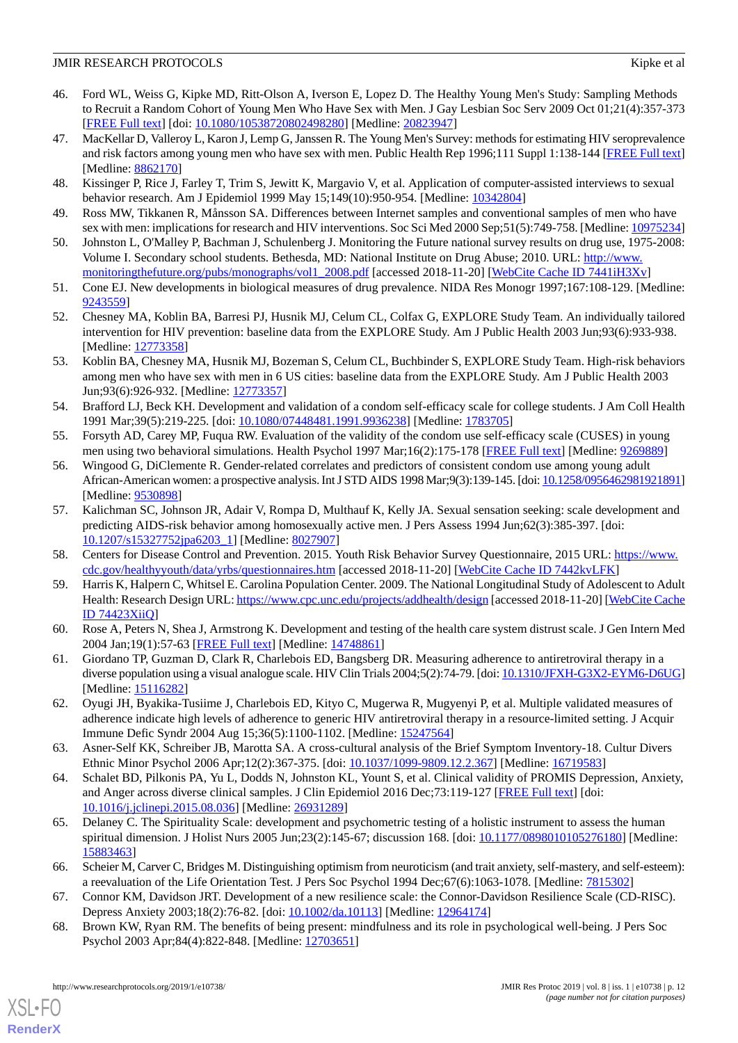- <span id="page-11-0"></span>46. Ford WL, Weiss G, Kipke MD, Ritt-Olson A, Iverson E, Lopez D. The Healthy Young Men's Study: Sampling Methods to Recruit a Random Cohort of Young Men Who Have Sex with Men. J Gay Lesbian Soc Serv 2009 Oct 01;21(4):357-373 [[FREE Full text](http://europepmc.org/abstract/MED/20823947)] [doi: [10.1080/10538720802498280\]](http://dx.doi.org/10.1080/10538720802498280) [Medline: [20823947\]](http://www.ncbi.nlm.nih.gov/entrez/query.fcgi?cmd=Retrieve&db=PubMed&list_uids=20823947&dopt=Abstract)
- <span id="page-11-1"></span>47. MacKellar D, Valleroy L, Karon J, Lemp G, Janssen R. The Young Men's Survey: methods for estimating HIV seroprevalence and risk factors among young men who have sex with men. Public Health Rep 1996;111 Suppl 1:138-144 [[FREE Full text](http://europepmc.org/abstract/MED/8862170)] [Medline: [8862170\]](http://www.ncbi.nlm.nih.gov/entrez/query.fcgi?cmd=Retrieve&db=PubMed&list_uids=8862170&dopt=Abstract)
- <span id="page-11-3"></span><span id="page-11-2"></span>48. Kissinger P, Rice J, Farley T, Trim S, Jewitt K, Margavio V, et al. Application of computer-assisted interviews to sexual behavior research. Am J Epidemiol 1999 May 15;149(10):950-954. [Medline: [10342804](http://www.ncbi.nlm.nih.gov/entrez/query.fcgi?cmd=Retrieve&db=PubMed&list_uids=10342804&dopt=Abstract)]
- <span id="page-11-4"></span>49. Ross MW, Tikkanen R, Månsson SA. Differences between Internet samples and conventional samples of men who have sex with men: implications for research and HIV interventions. Soc Sci Med 2000 Sep;51(5):749-758. [Medline: [10975234](http://www.ncbi.nlm.nih.gov/entrez/query.fcgi?cmd=Retrieve&db=PubMed&list_uids=10975234&dopt=Abstract)]
- <span id="page-11-5"></span>50. Johnston L, O'Malley P, Bachman J, Schulenberg J. Monitoring the Future national survey results on drug use, 1975-2008: Volume I. Secondary school students. Bethesda, MD: National Institute on Drug Abuse; 2010. URL: [http://www.](http://www.monitoringthefuture.org/pubs/monographs/vol1_2008.pdf) [monitoringthefuture.org/pubs/monographs/vol1\\_2008.pdf](http://www.monitoringthefuture.org/pubs/monographs/vol1_2008.pdf) [accessed 2018-11-20] [[WebCite Cache ID 7441iH3Xv\]](http://www.webcitation.org/

                                7441iH3Xv)
- <span id="page-11-7"></span>51. Cone EJ. New developments in biological measures of drug prevalence. NIDA Res Monogr 1997;167:108-129. [Medline: [9243559\]](http://www.ncbi.nlm.nih.gov/entrez/query.fcgi?cmd=Retrieve&db=PubMed&list_uids=9243559&dopt=Abstract)
- <span id="page-11-6"></span>52. Chesney MA, Koblin BA, Barresi PJ, Husnik MJ, Celum CL, Colfax G, EXPLORE Study Team. An individually tailored intervention for HIV prevention: baseline data from the EXPLORE Study. Am J Public Health 2003 Jun;93(6):933-938. [Medline: [12773358](http://www.ncbi.nlm.nih.gov/entrez/query.fcgi?cmd=Retrieve&db=PubMed&list_uids=12773358&dopt=Abstract)]
- <span id="page-11-8"></span>53. Koblin BA, Chesney MA, Husnik MJ, Bozeman S, Celum CL, Buchbinder S, EXPLORE Study Team. High-risk behaviors among men who have sex with men in 6 US cities: baseline data from the EXPLORE Study. Am J Public Health 2003 Jun;93(6):926-932. [Medline: [12773357\]](http://www.ncbi.nlm.nih.gov/entrez/query.fcgi?cmd=Retrieve&db=PubMed&list_uids=12773357&dopt=Abstract)
- <span id="page-11-10"></span><span id="page-11-9"></span>54. Brafford LJ, Beck KH. Development and validation of a condom self-efficacy scale for college students. J Am Coll Health 1991 Mar;39(5):219-225. [doi: [10.1080/07448481.1991.9936238\]](http://dx.doi.org/10.1080/07448481.1991.9936238) [Medline: [1783705\]](http://www.ncbi.nlm.nih.gov/entrez/query.fcgi?cmd=Retrieve&db=PubMed&list_uids=1783705&dopt=Abstract)
- 55. Forsyth AD, Carey MP, Fuqua RW. Evaluation of the validity of the condom use self-efficacy scale (CUSES) in young men using two behavioral simulations. Health Psychol 1997 Mar;16(2):175-178 [\[FREE Full text\]](http://europepmc.org/abstract/MED/9269889) [Medline: [9269889\]](http://www.ncbi.nlm.nih.gov/entrez/query.fcgi?cmd=Retrieve&db=PubMed&list_uids=9269889&dopt=Abstract)
- <span id="page-11-11"></span>56. Wingood G, DiClemente R. Gender-related correlates and predictors of consistent condom use among young adult African-American women: a prospective analysis. Int J STD AIDS 1998 Mar;9(3):139-145. [doi: [10.1258/0956462981921891\]](http://dx.doi.org/10.1258/0956462981921891) [Medline: [9530898\]](http://www.ncbi.nlm.nih.gov/entrez/query.fcgi?cmd=Retrieve&db=PubMed&list_uids=9530898&dopt=Abstract)
- <span id="page-11-13"></span><span id="page-11-12"></span>57. Kalichman SC, Johnson JR, Adair V, Rompa D, Multhauf K, Kelly JA. Sexual sensation seeking: scale development and predicting AIDS-risk behavior among homosexually active men. J Pers Assess 1994 Jun;62(3):385-397. [doi: [10.1207/s15327752jpa6203\\_1\]](http://dx.doi.org/10.1207/s15327752jpa6203_1) [Medline: [8027907\]](http://www.ncbi.nlm.nih.gov/entrez/query.fcgi?cmd=Retrieve&db=PubMed&list_uids=8027907&dopt=Abstract)
- <span id="page-11-14"></span>58. Centers for Disease Control and Prevention. 2015. Youth Risk Behavior Survey Questionnaire, 2015 URL: [https://www.](https://www.cdc.gov/healthyyouth/data/yrbs/questionnaires.htm) [cdc.gov/healthyyouth/data/yrbs/questionnaires.htm](https://www.cdc.gov/healthyyouth/data/yrbs/questionnaires.htm) [accessed 2018-11-20] [[WebCite Cache ID 7442kvLFK\]](http://www.webcitation.org/

                                7442kvLFK)
- <span id="page-11-15"></span>59. Harris K, Halpern C, Whitsel E. Carolina Population Center. 2009. The National Longitudinal Study of Adolescent to Adult Health: Research Design URL:<https://www.cpc.unc.edu/projects/addhealth/design> [accessed 2018-11-20] [\[WebCite Cache](http://www.webcitation.org/

                                74423XiiQ) [ID 74423XiiQ\]](http://www.webcitation.org/

                                74423XiiQ)
- <span id="page-11-16"></span>60. Rose A, Peters N, Shea J, Armstrong K. Development and testing of the health care system distrust scale. J Gen Intern Med 2004 Jan;19(1):57-63 [[FREE Full text](https://onlinelibrary.wiley.com/resolve/openurl?genre=article&sid=nlm:pubmed&issn=0884-8734&date=2004&volume=19&issue=1&spage=57)] [Medline: [14748861\]](http://www.ncbi.nlm.nih.gov/entrez/query.fcgi?cmd=Retrieve&db=PubMed&list_uids=14748861&dopt=Abstract)
- <span id="page-11-17"></span>61. Giordano TP, Guzman D, Clark R, Charlebois ED, Bangsberg DR. Measuring adherence to antiretroviral therapy in a diverse population using a visual analogue scale. HIV Clin Trials 2004;5(2):74-79. [doi: [10.1310/JFXH-G3X2-EYM6-D6UG\]](http://dx.doi.org/10.1310/JFXH-G3X2-EYM6-D6UG) [Medline: [15116282](http://www.ncbi.nlm.nih.gov/entrez/query.fcgi?cmd=Retrieve&db=PubMed&list_uids=15116282&dopt=Abstract)]
- <span id="page-11-18"></span>62. Oyugi JH, Byakika-Tusiime J, Charlebois ED, Kityo C, Mugerwa R, Mugyenyi P, et al. Multiple validated measures of adherence indicate high levels of adherence to generic HIV antiretroviral therapy in a resource-limited setting. J Acquir Immune Defic Syndr 2004 Aug 15;36(5):1100-1102. [Medline: [15247564\]](http://www.ncbi.nlm.nih.gov/entrez/query.fcgi?cmd=Retrieve&db=PubMed&list_uids=15247564&dopt=Abstract)
- <span id="page-11-19"></span>63. Asner-Self KK, Schreiber JB, Marotta SA. A cross-cultural analysis of the Brief Symptom Inventory-18. Cultur Divers Ethnic Minor Psychol 2006 Apr;12(2):367-375. [doi: [10.1037/1099-9809.12.2.367\]](http://dx.doi.org/10.1037/1099-9809.12.2.367) [Medline: [16719583\]](http://www.ncbi.nlm.nih.gov/entrez/query.fcgi?cmd=Retrieve&db=PubMed&list_uids=16719583&dopt=Abstract)
- <span id="page-11-20"></span>64. Schalet BD, Pilkonis PA, Yu L, Dodds N, Johnston KL, Yount S, et al. Clinical validity of PROMIS Depression, Anxiety, and Anger across diverse clinical samples. J Clin Epidemiol 2016 Dec;73:119-127 [\[FREE Full text\]](http://europepmc.org/abstract/MED/26931289) [doi: [10.1016/j.jclinepi.2015.08.036\]](http://dx.doi.org/10.1016/j.jclinepi.2015.08.036) [Medline: [26931289](http://www.ncbi.nlm.nih.gov/entrez/query.fcgi?cmd=Retrieve&db=PubMed&list_uids=26931289&dopt=Abstract)]
- <span id="page-11-22"></span><span id="page-11-21"></span>65. Delaney C. The Spirituality Scale: development and psychometric testing of a holistic instrument to assess the human spiritual dimension. J Holist Nurs 2005 Jun;23(2):145-67; discussion 168. [doi: [10.1177/0898010105276180\]](http://dx.doi.org/10.1177/0898010105276180) [Medline: [15883463](http://www.ncbi.nlm.nih.gov/entrez/query.fcgi?cmd=Retrieve&db=PubMed&list_uids=15883463&dopt=Abstract)]
- 66. Scheier M, Carver C, Bridges M. Distinguishing optimism from neuroticism (and trait anxiety, self-mastery, and self-esteem): a reevaluation of the Life Orientation Test. J Pers Soc Psychol 1994 Dec;67(6):1063-1078. [Medline: [7815302](http://www.ncbi.nlm.nih.gov/entrez/query.fcgi?cmd=Retrieve&db=PubMed&list_uids=7815302&dopt=Abstract)]
- 67. Connor KM, Davidson JRT. Development of a new resilience scale: the Connor-Davidson Resilience Scale (CD-RISC). Depress Anxiety 2003;18(2):76-82. [doi: [10.1002/da.10113](http://dx.doi.org/10.1002/da.10113)] [Medline: [12964174\]](http://www.ncbi.nlm.nih.gov/entrez/query.fcgi?cmd=Retrieve&db=PubMed&list_uids=12964174&dopt=Abstract)
- 68. Brown KW, Ryan RM. The benefits of being present: mindfulness and its role in psychological well-being. J Pers Soc Psychol 2003 Apr;84(4):822-848. [Medline: [12703651](http://www.ncbi.nlm.nih.gov/entrez/query.fcgi?cmd=Retrieve&db=PubMed&list_uids=12703651&dopt=Abstract)]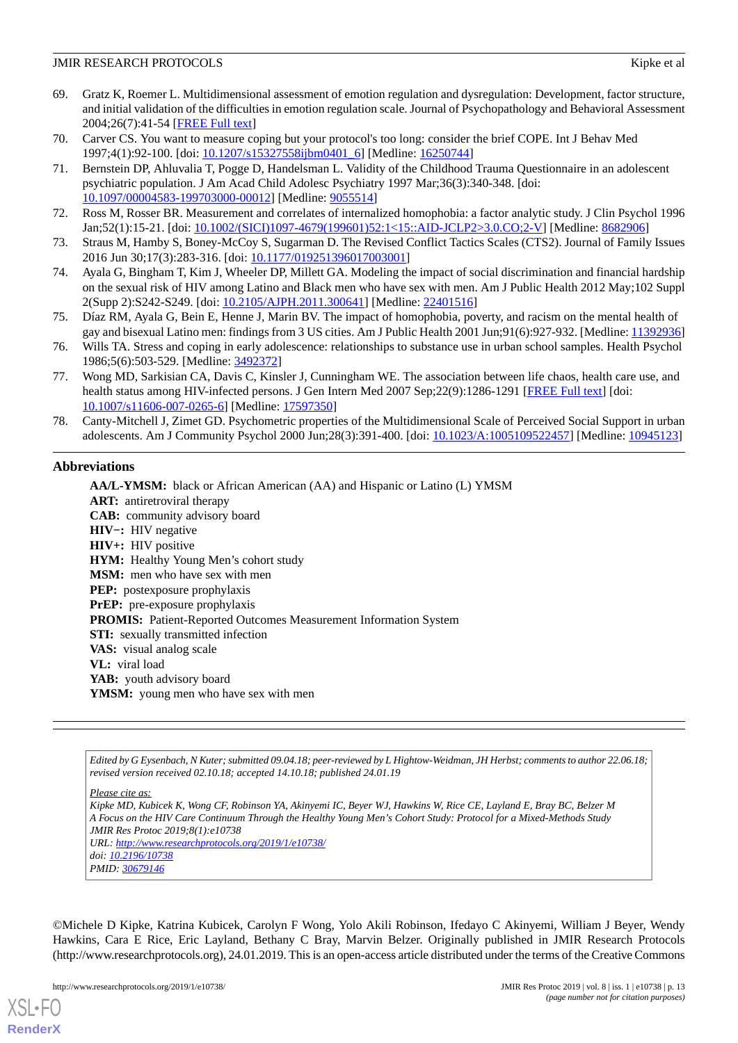- <span id="page-12-0"></span>69. Gratz K, Roemer L. Multidimensional assessment of emotion regulation and dysregulation: Development, factor structure, and initial validation of the difficulties in emotion regulation scale. Journal of Psychopathology and Behavioral Assessment 2004;26(7):41-54 [[FREE Full text](http://www.psychwiki.com/dms/other/labgroup/Measu235sdgse5234234resWeek2/Danika2/gratz2004.pdf)]
- <span id="page-12-2"></span><span id="page-12-1"></span>70. Carver CS. You want to measure coping but your protocol's too long: consider the brief COPE. Int J Behav Med 1997;4(1):92-100. [doi: [10.1207/s15327558ijbm0401\\_6\]](http://dx.doi.org/10.1207/s15327558ijbm0401_6) [Medline: [16250744\]](http://www.ncbi.nlm.nih.gov/entrez/query.fcgi?cmd=Retrieve&db=PubMed&list_uids=16250744&dopt=Abstract)
- 71. Bernstein DP, Ahluvalia T, Pogge D, Handelsman L. Validity of the Childhood Trauma Questionnaire in an adolescent psychiatric population. J Am Acad Child Adolesc Psychiatry 1997 Mar;36(3):340-348. [doi: [10.1097/00004583-199703000-00012](http://dx.doi.org/10.1097/00004583-199703000-00012)] [Medline: [9055514](http://www.ncbi.nlm.nih.gov/entrez/query.fcgi?cmd=Retrieve&db=PubMed&list_uids=9055514&dopt=Abstract)]
- <span id="page-12-4"></span><span id="page-12-3"></span>72. Ross M, Rosser BR. Measurement and correlates of internalized homophobia: a factor analytic study. J Clin Psychol 1996 Jan;52(1):15-21. [doi: [10.1002/\(SICI\)1097-4679\(199601\)52:1<15::AID-JCLP2>3.0.CO;2-V\]](http://dx.doi.org/10.1002/(SICI)1097-4679(199601)52:1<15::AID-JCLP2>3.0.CO;2-V) [Medline: [8682906](http://www.ncbi.nlm.nih.gov/entrez/query.fcgi?cmd=Retrieve&db=PubMed&list_uids=8682906&dopt=Abstract)]
- <span id="page-12-5"></span>73. Straus M, Hamby S, Boney-McCoy S, Sugarman D. The Revised Conflict Tactics Scales (CTS2). Journal of Family Issues 2016 Jun 30;17(3):283-316. [doi: [10.1177/019251396017003001\]](http://dx.doi.org/10.1177/019251396017003001)
- <span id="page-12-6"></span>74. Ayala G, Bingham T, Kim J, Wheeler DP, Millett GA. Modeling the impact of social discrimination and financial hardship on the sexual risk of HIV among Latino and Black men who have sex with men. Am J Public Health 2012 May;102 Suppl 2(Supp 2):S242-S249. [doi: [10.2105/AJPH.2011.300641](http://dx.doi.org/10.2105/AJPH.2011.300641)] [Medline: [22401516\]](http://www.ncbi.nlm.nih.gov/entrez/query.fcgi?cmd=Retrieve&db=PubMed&list_uids=22401516&dopt=Abstract)
- <span id="page-12-7"></span>75. Díaz RM, Ayala G, Bein E, Henne J, Marin BV. The impact of homophobia, poverty, and racism on the mental health of gay and bisexual Latino men: findings from 3 US cities. Am J Public Health 2001 Jun;91(6):927-932. [Medline: [11392936](http://www.ncbi.nlm.nih.gov/entrez/query.fcgi?cmd=Retrieve&db=PubMed&list_uids=11392936&dopt=Abstract)]
- <span id="page-12-8"></span>76. Wills TA. Stress and coping in early adolescence: relationships to substance use in urban school samples. Health Psychol 1986;5(6):503-529. [Medline: [3492372](http://www.ncbi.nlm.nih.gov/entrez/query.fcgi?cmd=Retrieve&db=PubMed&list_uids=3492372&dopt=Abstract)]
- <span id="page-12-9"></span>77. Wong MD, Sarkisian CA, Davis C, Kinsler J, Cunningham WE. The association between life chaos, health care use, and health status among HIV-infected persons. J Gen Intern Med 2007 Sep;22(9):1286-1291 [[FREE Full text\]](http://europepmc.org/abstract/MED/17597350) [doi: [10.1007/s11606-007-0265-6\]](http://dx.doi.org/10.1007/s11606-007-0265-6) [Medline: [17597350](http://www.ncbi.nlm.nih.gov/entrez/query.fcgi?cmd=Retrieve&db=PubMed&list_uids=17597350&dopt=Abstract)]
- 78. Canty-Mitchell J, Zimet GD. Psychometric properties of the Multidimensional Scale of Perceived Social Support in urban adolescents. Am J Community Psychol 2000 Jun;28(3):391-400. [doi: [10.1023/A:1005109522457\]](http://dx.doi.org/10.1023/A:1005109522457) [Medline: [10945123](http://www.ncbi.nlm.nih.gov/entrez/query.fcgi?cmd=Retrieve&db=PubMed&list_uids=10945123&dopt=Abstract)]

# **Abbreviations**

**AA/L-YMSM:** black or African American (AA) and Hispanic or Latino (L) YMSM **ART:** antiretroviral therapy **CAB:** community advisory board **HIV−:** HIV negative **HIV+:** HIV positive **HYM:** Healthy Young Men's cohort study **MSM:** men who have sex with men **PEP:** postexposure prophylaxis **PrEP:** pre-exposure prophylaxis PROMIS: Patient-Reported Outcomes Measurement Information System **STI:** sexually transmitted infection **VAS:** visual analog scale **VL:** viral load YAB: youth advisory board **YMSM:** young men who have sex with men

*Edited by G Eysenbach, N Kuter; submitted 09.04.18; peer-reviewed by L Hightow-Weidman, JH Herbst; comments to author 22.06.18; revised version received 02.10.18; accepted 14.10.18; published 24.01.19*

*Please cite as:*

*Kipke MD, Kubicek K, Wong CF, Robinson YA, Akinyemi IC, Beyer WJ, Hawkins W, Rice CE, Layland E, Bray BC, Belzer M A Focus on the HIV Care Continuum Through the Healthy Young Men's Cohort Study: Protocol for a Mixed-Methods Study JMIR Res Protoc 2019;8(1):e10738 URL: <http://www.researchprotocols.org/2019/1/e10738/> doi: [10.2196/10738](http://dx.doi.org/10.2196/10738) PMID: [30679146](http://www.ncbi.nlm.nih.gov/entrez/query.fcgi?cmd=Retrieve&db=PubMed&list_uids=30679146&dopt=Abstract)*

©Michele D Kipke, Katrina Kubicek, Carolyn F Wong, Yolo Akili Robinson, Ifedayo C Akinyemi, William J Beyer, Wendy Hawkins, Cara E Rice, Eric Layland, Bethany C Bray, Marvin Belzer. Originally published in JMIR Research Protocols (http://www.researchprotocols.org), 24.01.2019. This is an open-access article distributed under the terms of the Creative Commons